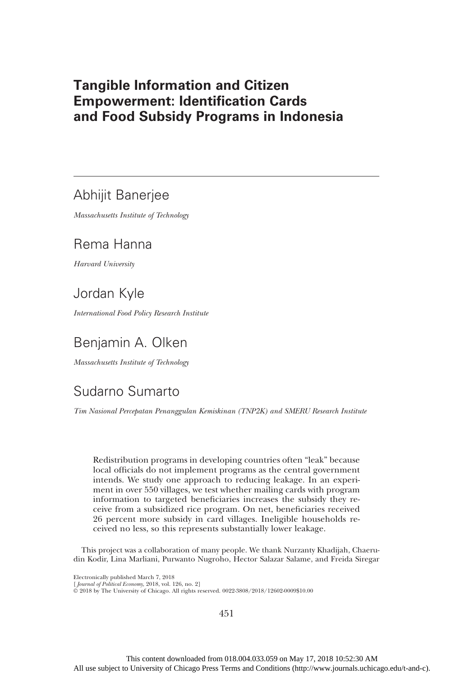## Tangible Information and Citizen Empowerment: Identification Cards and Food Subsidy Programs in Indonesia

## Abhijit Banerjee

Massachusetts Institute of Technology

# Rema Hanna

Harvard University

## Jordan Kyle

International Food Policy Research Institute

## Benjamin A. Olken

Massachusetts Institute of Technology

# Sudarno Sumarto

Tim Nasional Percepatan Penanggulan Kemiskinan (TNP2K) and SMERU Research Institute

Redistribution programs in developing countries often "leak" because local officials do not implement programs as the central government intends. We study one approach to reducing leakage. In an experiment in over 550 villages, we test whether mailing cards with program information to targeted beneficiaries increases the subsidy they receive from a subsidized rice program. On net, beneficiaries received 26 percent more subsidy in card villages. Ineligible households received no less, so this represents substantially lower leakage.

This project was a collaboration of many people. We thank Nurzanty Khadijah, Chaerudin Kodir, Lina Marliani, Purwanto Nugroho, Hector Salazar Salame, and Freida Siregar

Electronically published March 7, 2018

[ Journal of Political Economy, 2018, vol. 126, no. 2]

© 2018 by The University of Chicago. All rights reserved. 0022-3808/2018/12602-0009\$10.00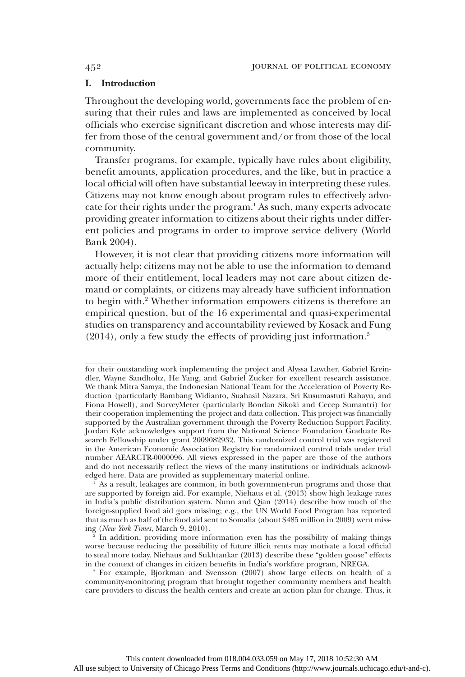## I. Introduction

Throughout the developing world, governments face the problem of ensuring that their rules and laws are implemented as conceived by local officials who exercise significant discretion and whose interests may differ from those of the central government and/or from those of the local community.

Transfer programs, for example, typically have rules about eligibility, benefit amounts, application procedures, and the like, but in practice a local official will often have substantial leeway in interpreting these rules. Citizens may not know enough about program rules to effectively advocate for their rights under the program.<sup>1</sup> As such, many experts advocate providing greater information to citizens about their rights under different policies and programs in order to improve service delivery (World Bank 2004).

However, it is not clear that providing citizens more information will actually help: citizens may not be able to use the information to demand more of their entitlement, local leaders may not care about citizen demand or complaints, or citizens may already have sufficient information to begin with.2 Whether information empowers citizens is therefore an empirical question, but of the 16 experimental and quasi-experimental studies on transparency and accountability reviewed by Kosack and Fung (2014), only a few study the effects of providing just information.3

for their outstanding work implementing the project and Alyssa Lawther, Gabriel Kreindler, Wayne Sandholtz, He Yang, and Gabriel Zucker for excellent research assistance. We thank Mitra Samya, the Indonesian National Team for the Acceleration of Poverty Reduction (particularly Bambang Widianto, Suahasil Nazara, Sri Kusumastuti Rahayu, and Fiona Howell), and SurveyMeter (particularly Bondan Sikoki and Cecep Sumantri) for their cooperation implementing the project and data collection. This project was financially supported by the Australian government through the Poverty Reduction Support Facility. Jordan Kyle acknowledges support from the National Science Foundation Graduate Research Fellowship under grant 2009082932. This randomized control trial was registered in the American Economic Association Registry for randomized control trials under trial number AEARCTR-0000096. All views expressed in the paper are those of the authors and do not necessarily reflect the views of the many institutions or individuals acknowledged here. Data are provided as supplementary material online.

<sup>1</sup> As a result, leakages are common, in both government-run programs and those that are supported by foreign aid. For example, Niehaus et al. (2013) show high leakage rates in India's public distribution system. Nunn and Qian (2014) describe how much of the foreign-supplied food aid goes missing; e.g., the UN World Food Program has reported that as much as half of the food aid sent to Somalia (about \$485 million in 2009) went missing (New York Times, March 9, 2010).

In addition, providing more information even has the possibility of making things worse because reducing the possibility of future illicit rents may motivate a local official to steal more today. Niehaus and Sukhtankar (2013) describe these "golden goose" effects in the context of changes in citizen benefits in India's workfare program, NREGA.

<sup>3</sup> For example, Bjorkman and Svensson (2007) show large effects on health of a community-monitoring program that brought together community members and health care providers to discuss the health centers and create an action plan for change. Thus, it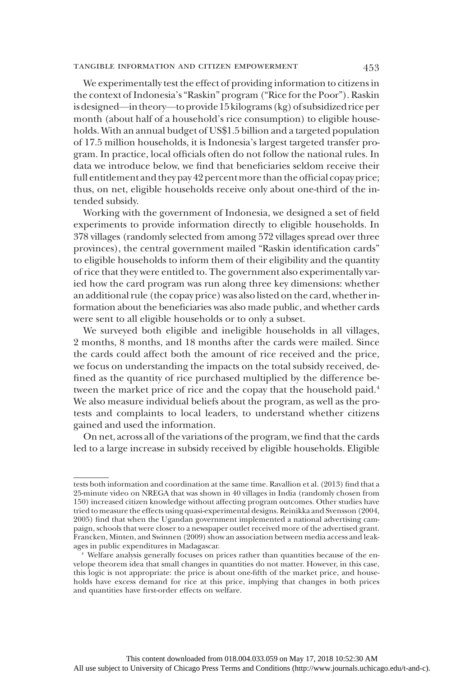## tangible information and citizen empowerment 453

We experimentally test the effect of providing information to citizens in the context of Indonesia's"Raskin" program ("Rice for the Poor"). Raskin is designed—in theory—to provide 15 kilograms (kg) of subsidized rice per month (about half of a household's rice consumption) to eligible households. With an annual budget of US\$1.5 billion and a targeted population of 17.5 million households, it is Indonesia's largest targeted transfer program. In practice, local officials often do not follow the national rules. In data we introduce below, we find that beneficiaries seldom receive their full entitlement and they pay 42 percentmore than the official copay price; thus, on net, eligible households receive only about one-third of the intended subsidy.

Working with the government of Indonesia, we designed a set of field experiments to provide information directly to eligible households. In 378 villages (randomly selected from among 572 villages spread over three provinces), the central government mailed "Raskin identification cards" to eligible households to inform them of their eligibility and the quantity of rice that they were entitled to. The government also experimentally varied how the card program was run along three key dimensions: whether an additional rule (the copay price) was also listed on the card, whether information about the beneficiaries was also made public, and whether cards were sent to all eligible households or to only a subset.

We surveyed both eligible and ineligible households in all villages, 2 months, 8 months, and 18 months after the cards were mailed. Since the cards could affect both the amount of rice received and the price, we focus on understanding the impacts on the total subsidy received, defined as the quantity of rice purchased multiplied by the difference between the market price of rice and the copay that the household paid.<sup>4</sup> We also measure individual beliefs about the program, as well as the protests and complaints to local leaders, to understand whether citizens gained and used the information.

On net, across all of the variations of the program, we find that the cards led to a large increase in subsidy received by eligible households. Eligible

tests both information and coordination at the same time. Ravallion et al. (2013) find that a 25-minute video on NREGA that was shown in 40 villages in India (randomly chosen from 150) increased citizen knowledge without affecting program outcomes. Other studies have tried to measure the effects using quasi-experimental designs. Reinikka and Svensson (2004, 2005) find that when the Ugandan government implemented a national advertising campaign, schools that were closer to a newspaper outlet received more of the advertised grant. Francken, Minten, and Swinnen (2009) show an association between media access and leakages in public expenditures in Madagascar.

<sup>4</sup> Welfare analysis generally focuses on prices rather than quantities because of the envelope theorem idea that small changes in quantities do not matter. However, in this case, this logic is not appropriate: the price is about one-fifth of the market price, and households have excess demand for rice at this price, implying that changes in both prices and quantities have first-order effects on welfare.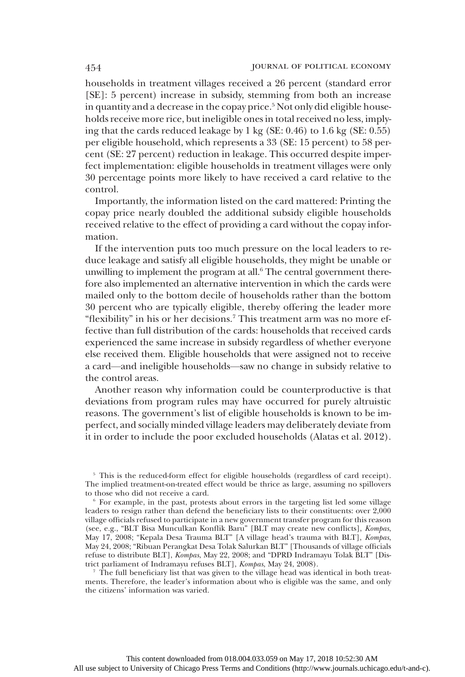households in treatment villages received a 26 percent (standard error [SE]: 5 percent) increase in subsidy, stemming from both an increase in quantity and a decrease in the copay price.<sup>5</sup> Not only did eligible households receive more rice, but ineligible ones in total received no less, implying that the cards reduced leakage by 1 kg (SE: 0.46) to 1.6 kg (SE: 0.55) per eligible household, which represents a 33 (SE: 15 percent) to 58 percent (SE: 27 percent) reduction in leakage. This occurred despite imperfect implementation: eligible households in treatment villages were only 30 percentage points more likely to have received a card relative to the control.

Importantly, the information listed on the card mattered: Printing the copay price nearly doubled the additional subsidy eligible households received relative to the effect of providing a card without the copay information.

If the intervention puts too much pressure on the local leaders to reduce leakage and satisfy all eligible households, they might be unable or unwilling to implement the program at all. $6$  The central government therefore also implemented an alternative intervention in which the cards were mailed only to the bottom decile of households rather than the bottom 30 percent who are typically eligible, thereby offering the leader more "flexibility" in his or her decisions.7 This treatment arm was no more effective than full distribution of the cards: households that received cards experienced the same increase in subsidy regardless of whether everyone else received them. Eligible households that were assigned not to receive a card—and ineligible households—saw no change in subsidy relative to the control areas.

Another reason why information could be counterproductive is that deviations from program rules may have occurred for purely altruistic reasons. The government's list of eligible households is known to be imperfect, and socially minded village leaders may deliberately deviate from it in order to include the poor excluded households (Alatas et al. 2012).

<sup>5</sup> This is the reduced-form effect for eligible households (regardless of card receipt). The implied treatment-on-treated effect would be thrice as large, assuming no spillovers to those who did not receive a card.

<sup>7</sup> The full beneficiary list that was given to the village head was identical in both treatments. Therefore, the leader's information about who is eligible was the same, and only the citizens' information was varied.

<sup>6</sup> For example, in the past, protests about errors in the targeting list led some village leaders to resign rather than defend the beneficiary lists to their constituents: over 2,000 village officials refused to participate in a new government transfer program for this reason (see, e.g., "BLT Bisa Munculkan Konflik Baru" [BLT may create new conflicts], Kompas, May 17, 2008; "Kepala Desa Trauma BLT" [A village head's trauma with BLT], Kompas, May 24, 2008; "Ribuan Perangkat Desa Tolak Salurkan BLT" [Thousands of village officials refuse to distribute BLT], Kompas, May 22, 2008; and "DPRD Indramayu Tolak BLT" [District parliament of Indramayu refuses BLT], Kompas, May 24, 2008).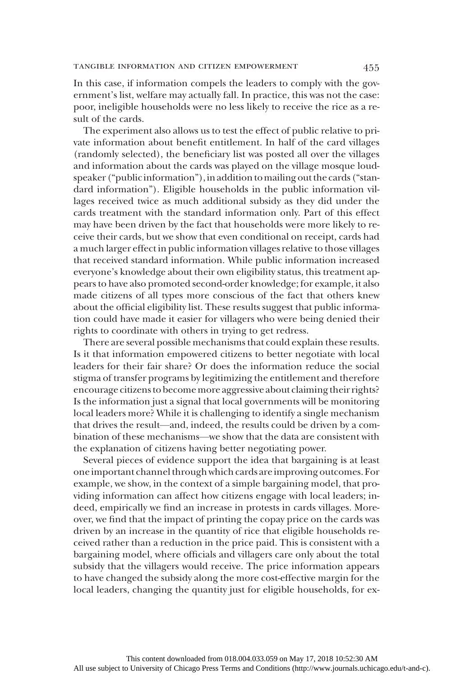In this case, if information compels the leaders to comply with the government's list, welfare may actually fall. In practice, this was not the case: poor, ineligible households were no less likely to receive the rice as a result of the cards.

The experiment also allows us to test the effect of public relative to private information about benefit entitlement. In half of the card villages (randomly selected), the beneficiary list was posted all over the villages and information about the cards was played on the village mosque loudspeaker ("public information"), in addition to mailing out the cards ("standard information"). Eligible households in the public information villages received twice as much additional subsidy as they did under the cards treatment with the standard information only. Part of this effect may have been driven by the fact that households were more likely to receive their cards, but we show that even conditional on receipt, cards had a much larger effect in public information villages relative to those villages that received standard information. While public information increased everyone's knowledge about their own eligibility status, this treatment appears to have also promoted second-order knowledge; for example, it also made citizens of all types more conscious of the fact that others knew about the official eligibility list. These results suggest that public information could have made it easier for villagers who were being denied their rights to coordinate with others in trying to get redress.

There are several possible mechanisms that could explain these results. Is it that information empowered citizens to better negotiate with local leaders for their fair share? Or does the information reduce the social stigma of transfer programs by legitimizing the entitlement and therefore encourage citizens to become more aggressive about claiming their rights? Is the information just a signal that local governments will be monitoring local leaders more? While it is challenging to identify a single mechanism that drives the result—and, indeed, the results could be driven by a combination of these mechanisms—we show that the data are consistent with the explanation of citizens having better negotiating power.

Several pieces of evidence support the idea that bargaining is at least oneimportant channel through which cards areimproving outcomes. For example, we show, in the context of a simple bargaining model, that providing information can affect how citizens engage with local leaders; indeed, empirically we find an increase in protests in cards villages. Moreover, we find that the impact of printing the copay price on the cards was driven by an increase in the quantity of rice that eligible households received rather than a reduction in the price paid. This is consistent with a bargaining model, where officials and villagers care only about the total subsidy that the villagers would receive. The price information appears to have changed the subsidy along the more cost-effective margin for the local leaders, changing the quantity just for eligible households, for ex-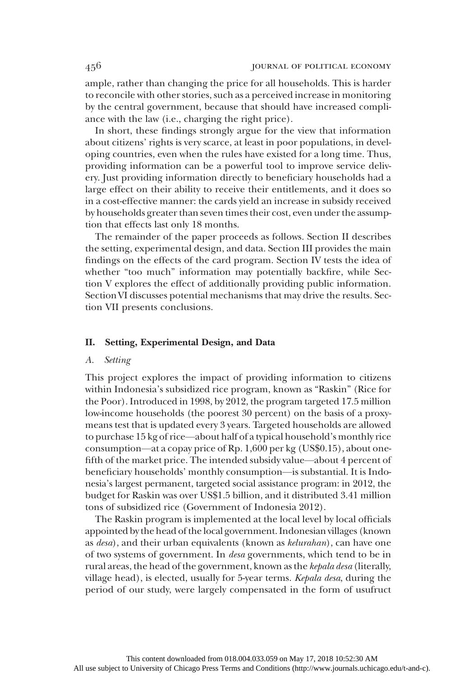ample, rather than changing the price for all households. This is harder to reconcile with other stories, such as a perceived increase in monitoring by the central government, because that should have increased compliance with the law (i.e., charging the right price).

In short, these findings strongly argue for the view that information about citizens' rights is very scarce, at least in poor populations, in developing countries, even when the rules have existed for a long time. Thus, providing information can be a powerful tool to improve service delivery. Just providing information directly to beneficiary households had a large effect on their ability to receive their entitlements, and it does so in a cost-effective manner: the cards yield an increase in subsidy received by households greater than seven times their cost, even under the assumption that effects last only 18 months.

The remainder of the paper proceeds as follows. Section II describes the setting, experimental design, and data. Section III provides the main findings on the effects of the card program. Section IV tests the idea of whether "too much" information may potentially backfire, while Section V explores the effect of additionally providing public information. SectionVI discusses potential mechanisms that may drive the results. Section VII presents conclusions.

#### II. Setting, Experimental Design, and Data

#### A. Setting

This project explores the impact of providing information to citizens within Indonesia's subsidized rice program, known as "Raskin" (Rice for the Poor). Introduced in 1998, by 2012, the program targeted 17.5 million low-income households (the poorest 30 percent) on the basis of a proxymeans test that is updated every 3 years. Targeted households are allowed to purchase 15 kg of rice—about half of a typical household's monthly rice consumption—at a copay price of Rp. 1,600 per kg (US\$0.15), about onefifth of the market price. The intended subsidy value—about 4 percent of beneficiary households' monthly consumption—is substantial. It is Indonesia's largest permanent, targeted social assistance program: in 2012, the budget for Raskin was over US\$1.5 billion, and it distributed 3.41 million tons of subsidized rice (Government of Indonesia 2012).

The Raskin program is implemented at the local level by local officials appointed by the head of the local government. Indonesian villages (known as desa), and their urban equivalents (known as kelurahan), can have one of two systems of government. In desa governments, which tend to be in rural areas, the head of the government, known as the kepala desa (literally, village head), is elected, usually for 5-year terms. Kepala desa, during the period of our study, were largely compensated in the form of usufruct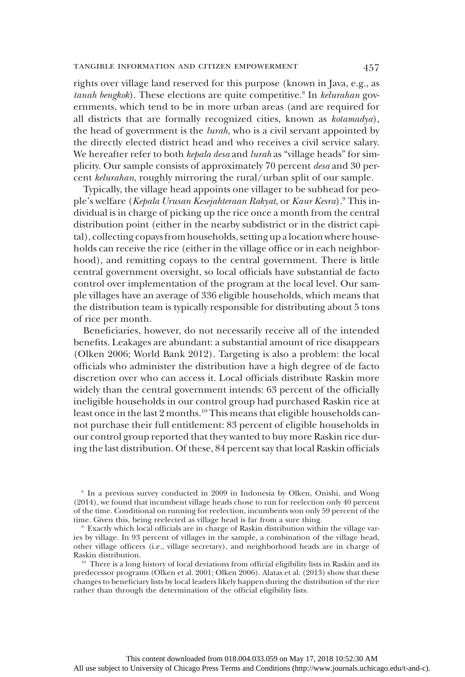#### tangible information and citizen empowerment 457

rights over village land reserved for this purpose (known in Java, e.g., as tanah bengkok). These elections are quite competitive.<sup>8</sup> In kelurahan governments, which tend to be in more urban areas (and are required for all districts that are formally recognized cities, known as kotamadya), the head of government is the lurah, who is a civil servant appointed by the directly elected district head and who receives a civil service salary. We hereafter refer to both kepala desa and lurah as "village heads" for simplicity. Our sample consists of approximately 70 percent *desa* and 30 percent kelurahan, roughly mirroring the rural/urban split of our sample.

Typically, the village head appoints one villager to be subhead for people's welfare (Kepala Urusan Kesejahteraan Rakyat, or Kaur Kesra).<sup>9</sup> This individual is in charge of picking up the rice once a month from the central distribution point (either in the nearby subdistrict or in the district capital), collecting copays from households, setting up a location where households can receive the rice (either in the village office or in each neighborhood), and remitting copays to the central government. There is little central government oversight, so local officials have substantial de facto control over implementation of the program at the local level. Our sample villages have an average of 336 eligible households, which means that the distribution team is typically responsible for distributing about 5 tons of rice per month.

Beneficiaries, however, do not necessarily receive all of the intended benefits. Leakages are abundant: a substantial amount of rice disappears (Olken 2006; World Bank 2012). Targeting is also a problem: the local officials who administer the distribution have a high degree of de facto discretion over who can access it. Local officials distribute Raskin more widely than the central government intends: 63 percent of the officially ineligible households in our control group had purchased Raskin rice at least once in the last 2 months.<sup>10</sup> This means that eligible households cannot purchase their full entitlement: 83 percent of eligible households in our control group reported that they wanted to buy more Raskin rice during the last distribution. Of these, 84 percent say that local Raskin officials

<sup>8</sup> In a previous survey conducted in 2009 in Indonesia by Olken, Onishi, and Wong (2014), we found that incumbent village heads chose to run for reelection only 40 percent of the time. Conditional on running for reelection, incumbents won only 59 percent of the time. Given this, being reelected as village head is far from a sure thing.

<sup>9</sup> Exactly which local officials are in charge of Raskin distribution within the village varies by village. In 93 percent of villages in the sample, a combination of the village head, other village officers (i.e., village secretary), and neighborhood heads are in charge of Raskin distribution.

<sup>10</sup> There is a long history of local deviations from official eligibility lists in Raskin and its predecessor programs (Olken et al. 2001; Olken 2006). Alatas et al. (2013) show that these changes to beneficiary lists by local leaders likely happen during the distribution of the rice rather than through the determination of the official eligibility lists.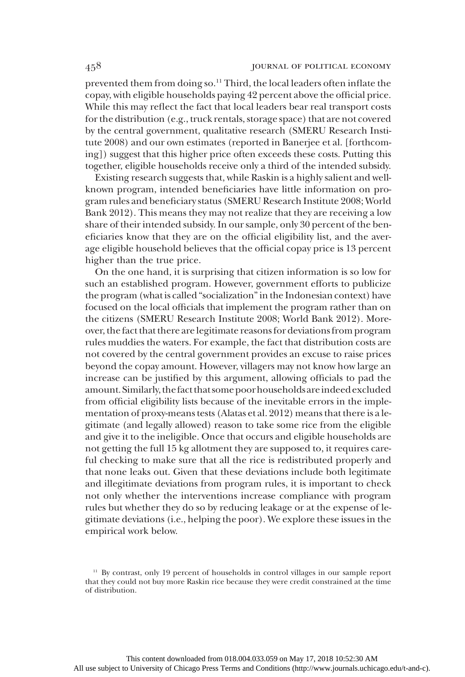prevented them from doing so.<sup>11</sup> Third, the local leaders often inflate the copay, with eligible households paying 42 percent above the official price. While this may reflect the fact that local leaders bear real transport costs for the distribution (e.g., truck rentals, storage space) that are not covered by the central government, qualitative research (SMERU Research Institute 2008) and our own estimates (reported in Banerjee et al. [forthcoming]) suggest that this higher price often exceeds these costs. Putting this together, eligible households receive only a third of the intended subsidy.

Existing research suggests that, while Raskin is a highly salient and wellknown program, intended beneficiaries have little information on program rules and beneficiary status (SMERU Research Institute 2008; World Bank 2012). This means they may not realize that they are receiving a low share of their intended subsidy. In our sample, only 30 percent of the beneficiaries know that they are on the official eligibility list, and the average eligible household believes that the official copay price is 13 percent higher than the true price.

On the one hand, it is surprising that citizen information is so low for such an established program. However, government efforts to publicize the program (what is called "socialization"in the Indonesian context) have focused on the local officials that implement the program rather than on the citizens (SMERU Research Institute 2008; World Bank 2012). Moreover, the fact that there are legitimate reasons for deviations from program rules muddies the waters. For example, the fact that distribution costs are not covered by the central government provides an excuse to raise prices beyond the copay amount. However, villagers may not know how large an increase can be justified by this argument, allowing officials to pad the amount. Similarly, the fact that some poorhouseholdsareindeed excluded from official eligibility lists because of the inevitable errors in the implementation of proxy-means tests (Alatas et al. 2012) means that there is a legitimate (and legally allowed) reason to take some rice from the eligible and give it to the ineligible. Once that occurs and eligible households are not getting the full 15 kg allotment they are supposed to, it requires careful checking to make sure that all the rice is redistributed properly and that none leaks out. Given that these deviations include both legitimate and illegitimate deviations from program rules, it is important to check not only whether the interventions increase compliance with program rules but whether they do so by reducing leakage or at the expense of legitimate deviations (i.e., helping the poor). We explore these issues in the empirical work below.

<sup>&</sup>lt;sup>11</sup> By contrast, only 19 percent of households in control villages in our sample report that they could not buy more Raskin rice because they were credit constrained at the time of distribution.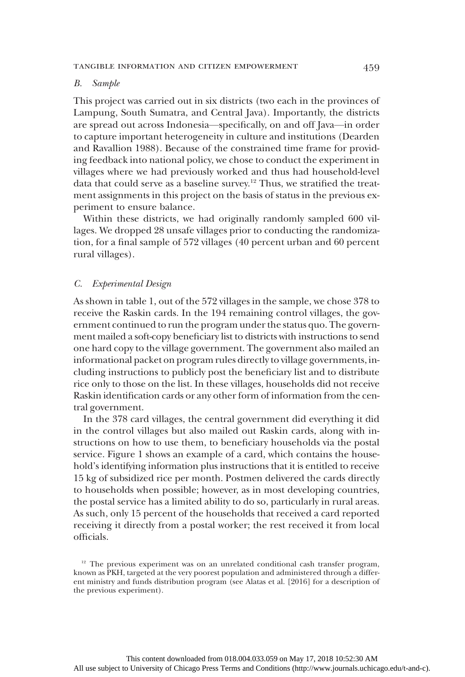#### B. Sample

This project was carried out in six districts (two each in the provinces of Lampung, South Sumatra, and Central Java). Importantly, the districts are spread out across Indonesia—specifically, on and off Java—in order to capture important heterogeneity in culture and institutions (Dearden and Ravallion 1988). Because of the constrained time frame for providing feedback into national policy, we chose to conduct the experiment in villages where we had previously worked and thus had household-level data that could serve as a baseline survey.12 Thus, we stratified the treatment assignments in this project on the basis of status in the previous experiment to ensure balance.

Within these districts, we had originally randomly sampled 600 villages. We dropped 28 unsafe villages prior to conducting the randomization, for a final sample of 572 villages (40 percent urban and 60 percent rural villages).

#### C. Experimental Design

As shown in table 1, out of the 572 villages in the sample, we chose 378 to receive the Raskin cards. In the 194 remaining control villages, the government continued to run the program under the status quo. The government mailed a soft-copy beneficiary list to districts with instructions to send one hard copy to the village government. The government also mailed an informational packet on program rules directly to village governments, including instructions to publicly post the beneficiary list and to distribute rice only to those on the list. In these villages, households did not receive Raskin identification cards or any other form of information from the central government.

In the 378 card villages, the central government did everything it did in the control villages but also mailed out Raskin cards, along with instructions on how to use them, to beneficiary households via the postal service. Figure 1 shows an example of a card, which contains the household's identifying information plus instructions that it is entitled to receive 15 kg of subsidized rice per month. Postmen delivered the cards directly to households when possible; however, as in most developing countries, the postal service has a limited ability to do so, particularly in rural areas. As such, only 15 percent of the households that received a card reported receiving it directly from a postal worker; the rest received it from local officials.

 $12$  The previous experiment was on an unrelated conditional cash transfer program, known as PKH, targeted at the very poorest population and administered through a different ministry and funds distribution program (see Alatas et al. [2016] for a description of the previous experiment).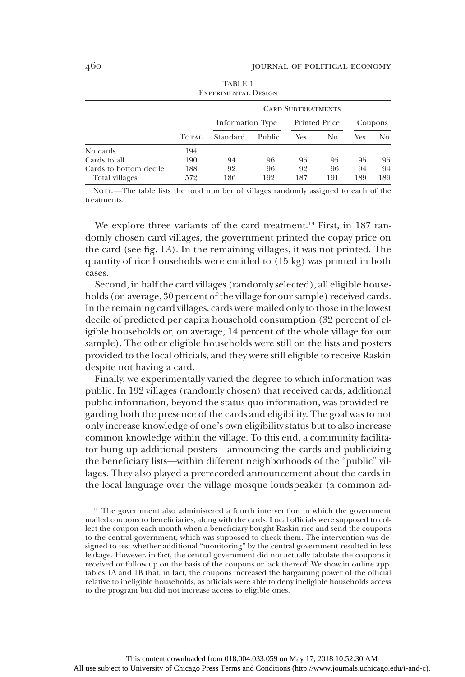|                        |              | <b>EXPERIMENTAL DESIGN</b> |        |                           |               |     |         |
|------------------------|--------------|----------------------------|--------|---------------------------|---------------|-----|---------|
|                        |              |                            |        | <b>CARD SUBTREATMENTS</b> |               |     |         |
|                        |              | Information Type           |        |                           | Printed Price |     | Coupons |
|                        | <b>TOTAL</b> | Standard                   | Public | Yes                       | No            | Yes | No.     |
| No cards               | 194          |                            |        |                           |               |     |         |
| Cards to all           | 190          | 94                         | 96     | 95                        | 95            | 95  | 95      |
| Cards to bottom decile | 188          | 92                         | 96     | 92                        | 96            | 94  | 94      |
| Total villages         | 572          | 186                        | 192    | 187                       | 191           | 189 | 189     |

TABLE 1 Experimental Design

NOTE.—The table lists the total number of villages randomly assigned to each of the treatments.

We explore three variants of the card treatment.<sup>13</sup> First, in 187 randomly chosen card villages, the government printed the copay price on the card (see fig. 1A). In the remaining villages, it was not printed. The quantity of rice households were entitled to (15 kg) was printed in both cases.

Second, in half the card villages (randomly selected), all eligible households (on average, 30 percent of the village for our sample) received cards. In the remaining card villages, cards were mailed only to those in the lowest decile of predicted per capita household consumption (32 percent of eligible households or, on average, 14 percent of the whole village for our sample). The other eligible households were still on the lists and posters provided to the local officials, and they were still eligible to receive Raskin despite not having a card.

Finally, we experimentally varied the degree to which information was public. In 192 villages (randomly chosen) that received cards, additional public information, beyond the status quo information, was provided regarding both the presence of the cards and eligibility. The goal was to not only increase knowledge of one's own eligibility status but to also increase common knowledge within the village. To this end, a community facilitator hung up additional posters—announcing the cards and publicizing the beneficiary lists—within different neighborhoods of the "public" villages. They also played a prerecorded announcement about the cards in the local language over the village mosque loudspeaker (a common ad-

<sup>13</sup> The government also administered a fourth intervention in which the government mailed coupons to beneficiaries, along with the cards. Local officials were supposed to collect the coupon each month when a beneficiary bought Raskin rice and send the coupons to the central government, which was supposed to check them. The intervention was designed to test whether additional "monitoring" by the central government resulted in less leakage. However, in fact, the central government did not actually tabulate the coupons it received or follow up on the basis of the coupons or lack thereof. We show in online app. tables 1A and 1B that, in fact, the coupons increased the bargaining power of the official relative to ineligible households, as officials were able to deny ineligible households access to the program but did not increase access to eligible ones.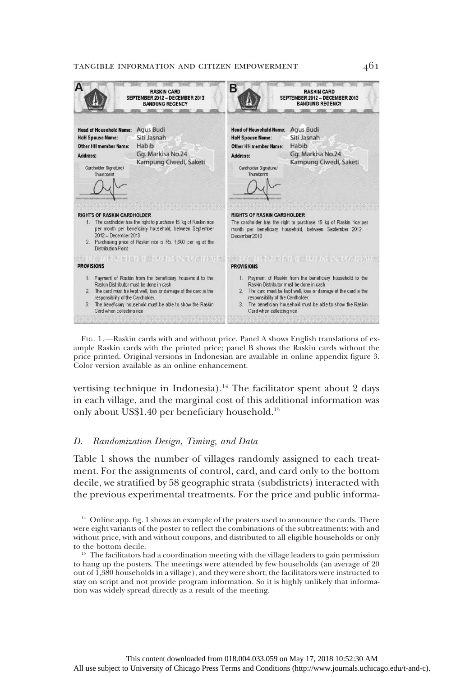#### tangible information and citizen empowerment 461



FIG. 1.—Raskin cards with and without price. Panel A shows English translations of example Raskin cards with the printed price; panel B shows the Raskin cards without the price printed. Original versions in Indonesian are available in online appendix figure 3. Color version available as an online enhancement.

vertising technique in Indonesia).<sup>14</sup> The facilitator spent about 2 days in each village, and the marginal cost of this additional information was only about US\$1.40 per beneficiary household.15

## D. Randomization Design, Timing, and Data

Table 1 shows the number of villages randomly assigned to each treatment. For the assignments of control, card, and card only to the bottom decile, we stratified by 58 geographic strata (subdistricts) interacted with the previous experimental treatments. For the price and public informa-

<sup>&</sup>lt;sup>14</sup> Online app. fig. 1 shows an example of the posters used to announce the cards. There were eight variants of the poster to reflect the combinations of the subtreatments: with and without price, with and without coupons, and distributed to all eligible households or only to the bottom decile.

 $15$  The facilitators had a coordination meeting with the village leaders to gain permission to hang up the posters. The meetings were attended by few households (an average of 20 out of 1,380 households in a village), and they were short; the facilitators were instructed to stay on script and not provide program information. So it is highly unlikely that information was widely spread directly as a result of the meeting.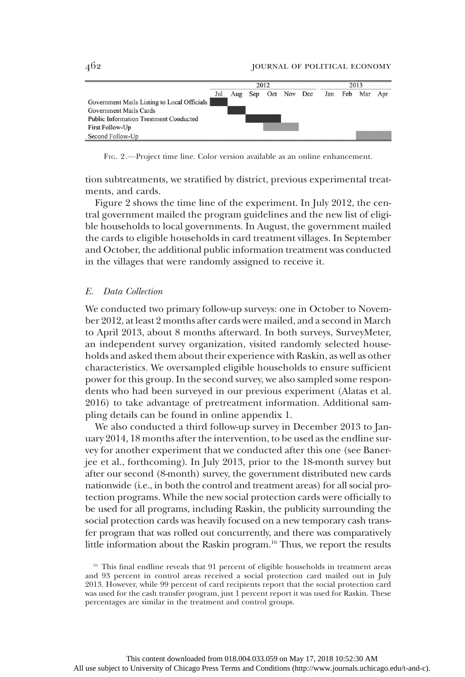

FIG. 2.—Project time line. Color version available as an online enhancement.

tion subtreatments, we stratified by district, previous experimental treatments, and cards.

Figure 2 shows the time line of the experiment. In July 2012, the central government mailed the program guidelines and the new list of eligible households to local governments. In August, the government mailed the cards to eligible households in card treatment villages. In September and October, the additional public information treatment was conducted in the villages that were randomly assigned to receive it.

#### E. Data Collection

We conducted two primary follow-up surveys: one in October to November 2012, at least 2 months after cards were mailed, and a second in March to April 2013, about 8 months afterward. In both surveys, SurveyMeter, an independent survey organization, visited randomly selected households and asked them about their experience with Raskin, as well as other characteristics. We oversampled eligible households to ensure sufficient power for this group. In the second survey, we also sampled some respondents who had been surveyed in our previous experiment (Alatas et al. 2016) to take advantage of pretreatment information. Additional sampling details can be found in online appendix 1.

We also conducted a third follow-up survey in December 2013 to January 2014, 18 months after the intervention, to be used as the endline survey for another experiment that we conducted after this one (see Banerjee et al., forthcoming). In July 2013, prior to the 18-month survey but after our second (8-month) survey, the government distributed new cards nationwide (i.e., in both the control and treatment areas) for all social protection programs. While the new social protection cards were officially to be used for all programs, including Raskin, the publicity surrounding the social protection cards was heavily focused on a new temporary cash transfer program that was rolled out concurrently, and there was comparatively little information about the Raskin program.<sup>16</sup> Thus, we report the results

<sup>&</sup>lt;sup>16</sup> This final endline reveals that 91 percent of eligible households in treatment areas and 93 percent in control areas received a social protection card mailed out in July 2013. However, while 99 percent of card recipients report that the social protection card was used for the cash transfer program, just 1 percent report it was used for Raskin. These percentages are similar in the treatment and control groups.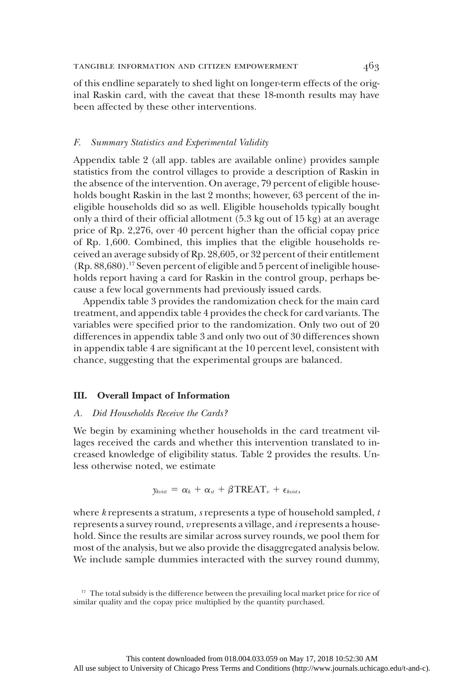of this endline separately to shed light on longer-term effects of the original Raskin card, with the caveat that these 18-month results may have been affected by these other interventions.

#### F. Summary Statistics and Experimental Validity

Appendix table 2 (all app. tables are available online) provides sample statistics from the control villages to provide a description of Raskin in the absence of the intervention. On average, 79 percent of eligible households bought Raskin in the last 2 months; however, 63 percent of the ineligible households did so as well. Eligible households typically bought only a third of their official allotment (5.3 kg out of 15 kg) at an average price of Rp. 2,276, over 40 percent higher than the official copay price of Rp. 1,600. Combined, this implies that the eligible households received an average subsidy of Rp. 28,605, or 32 percent of their entitlement (Rp. 88,680).17 Seven percent of eligible and 5 percent of ineligible households report having a card for Raskin in the control group, perhaps because a few local governments had previously issued cards.

Appendix table 3 provides the randomization check for the main card treatment, and appendix table 4 provides the check for card variants. The variables were specified prior to the randomization. Only two out of 20 differences in appendix table 3 and only two out of 30 differences shown in appendix table 4 are significant at the 10 percent level, consistent with chance, suggesting that the experimental groups are balanced.

### III. Overall Impact of Information

### A. Did Households Receive the Cards?

We begin by examining whether households in the card treatment villages received the cards and whether this intervention translated to increased knowledge of eligibility status. Table 2 provides the results. Unless otherwise noted, we estimate

$$
y_{kvisit} = \alpha_k + \alpha_{st} + \beta \text{TREAT}_{v} + \epsilon_{kvisl},
$$

where  $k$  represents a stratum,  $s$  represents a type of household sampled,  $t$ represents a survey round, v represents a village, and irepresents a household. Since the results are similar across survey rounds, we pool them for most of the analysis, but we also provide the disaggregated analysis below. We include sample dummies interacted with the survey round dummy,

<sup>&</sup>lt;sup>17</sup> The total subsidy is the difference between the prevailing local market price for rice of similar quality and the copay price multiplied by the quantity purchased.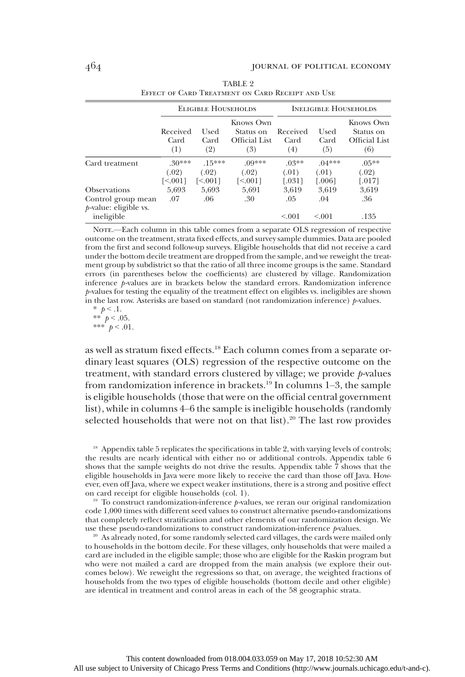|                                                |                         | <b>ELIGIBLE HOUSEHOLDS</b> |                                                |                         | <b>INELIGIBLE HOUSEHOLDS</b> |                                                |
|------------------------------------------------|-------------------------|----------------------------|------------------------------------------------|-------------------------|------------------------------|------------------------------------------------|
|                                                | Received<br>Card<br>(1) | Used<br>Card<br>(2)        | Knows Own<br>Status on<br>Official List<br>(3) | Received<br>Card<br>(4) | Used<br>Card<br>(5)          | Knows Own<br>Status on<br>Official List<br>(6) |
| Card treatment                                 | $30***$                 | $.15***$                   | $.09***$                                       | $.03**$                 | $04***$                      | $.05***$                                       |
|                                                | (.02)                   | (.02)                      | (.02)                                          | (.01)                   | (.01)                        | (.02)                                          |
|                                                | [<.001]                 | $\leq 0011$                | [<.001]                                        | [.031]                  | $[.006]$                     | $[.017]$                                       |
| <b>Observations</b>                            | 5,693                   | 5,693                      | 5,691                                          | 3,619                   | 3,619                        | 3,619                                          |
| Control group mean<br>$p$ -value: eligible vs. | .07                     | .06                        | .30                                            | .05                     | .04                          | .36                                            |
| ineligible                                     |                         |                            |                                                | < 0.01                  | < 0.01                       | .135                                           |

| TABLE 2                                          |  |  |
|--------------------------------------------------|--|--|
| EFFECT OF CARD TREATMENT ON CARD RECEIPT AND USE |  |  |

NOTE.—Each column in this table comes from a separate OLS regression of respective outcome on the treatment, strata fixed effects, and survey sample dummies. Data are pooled from the first and second follow-up surveys. Eligible households that did not receive a card under the bottom decile treatment are dropped from the sample, and we reweight the treatment group by subdistrict so that the ratio of all three income groups is the same. Standard errors (in parentheses below the coefficients) are clustered by village. Randomization inference p-values are in brackets below the standard errors. Randomization inference p-values for testing the equality of the treatment effect on eligibles vs. ineligibles are shown in the last row. Asterisks are based on standard (not randomization inference)  $p$ -values.

\*  $p < 0.1$ . \*\*  $p < .05$ . \*\*\*  $p < .01$ .

as well as stratum fixed effects.<sup>18</sup> Each column comes from a separate ordinary least squares (OLS) regression of the respective outcome on the treatment, with standard errors clustered by village; we provide  $p$ -values from randomization inference in brackets.19 In columns 1–3, the sample is eligible households (those that were on the official central government list), while in columns 4–6 the sample is ineligible households (randomly selected households that were not on that list).<sup>20</sup> The last row provides

<sup>18</sup> Appendix table 5 replicates the specifications in table 2, with varying levels of controls; the results are nearly identical with either no or additional controls. Appendix table 6 shows that the sample weights do not drive the results. Appendix table 7 shows that the eligible households in Java were more likely to receive the card than those off Java. However, even off Java, where we expect weaker institutions, there is a strong and positive effect on card receipt for eligible households (col. 1).

<sup>19</sup> To construct randomization-inference  $p$ -values, we reran our original randomization code 1,000 times with different seed values to construct alternative pseudo-randomizations that completely reflect stratification and other elements of our randomization design. We use these pseudo-randomizations to construct randomization-inference  $p$ -values.

 $2<sup>0</sup>$  As already noted, for some randomly selected card villages, the cards were mailed only to households in the bottom decile. For these villages, only households that were mailed a card are included in the eligible sample; those who are eligible for the Raskin program but who were not mailed a card are dropped from the main analysis (we explore their outcomes below). We reweight the regressions so that, on average, the weighted fractions of households from the two types of eligible households (bottom decile and other eligible) are identical in treatment and control areas in each of the 58 geographic strata.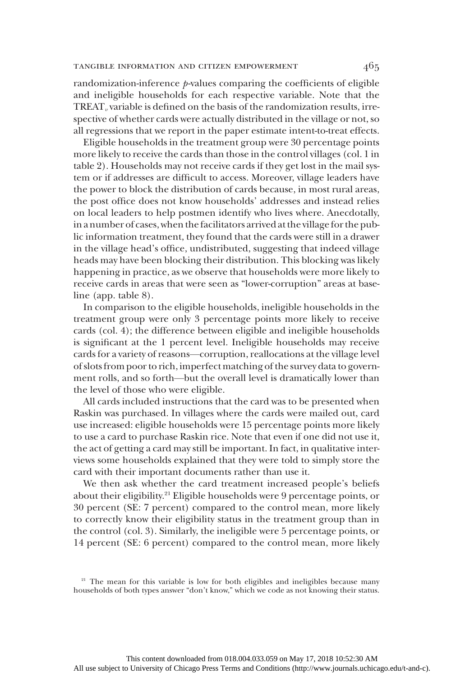randomization-inference  $p$ -values comparing the coefficients of eligible and ineligible households for each respective variable. Note that the  $TREAT<sub>v</sub>$  variable is defined on the basis of the randomization results, irrespective of whether cards were actually distributed in the village or not, so all regressions that we report in the paper estimate intent-to-treat effects.

Eligible households in the treatment group were 30 percentage points more likely to receive the cards than those in the control villages (col. 1 in table 2). Households may not receive cards if they get lost in the mail system or if addresses are difficult to access. Moreover, village leaders have the power to block the distribution of cards because, in most rural areas, the post office does not know households' addresses and instead relies on local leaders to help postmen identify who lives where. Anecdotally, in a number of cases, when the facilitators arrived at the village for the public information treatment, they found that the cards were still in a drawer in the village head's office, undistributed, suggesting that indeed village heads may have been blocking their distribution. This blocking was likely happening in practice, as we observe that households were more likely to receive cards in areas that were seen as "lower-corruption" areas at baseline (app. table 8).

In comparison to the eligible households, ineligible households in the treatment group were only 3 percentage points more likely to receive cards (col. 4); the difference between eligible and ineligible households is significant at the 1 percent level. Ineligible households may receive cards for a variety of reasons—corruption, reallocations at the village level of slots from poor to rich, imperfect matching of the survey data to government rolls, and so forth—but the overall level is dramatically lower than the level of those who were eligible.

All cards included instructions that the card was to be presented when Raskin was purchased. In villages where the cards were mailed out, card use increased: eligible households were 15 percentage points more likely to use a card to purchase Raskin rice. Note that even if one did not use it, the act of getting a card may still be important. In fact, in qualitative interviews some households explained that they were told to simply store the card with their important documents rather than use it.

We then ask whether the card treatment increased people's beliefs about their eligibility.<sup>21</sup> Eligible households were 9 percentage points, or 30 percent (SE: 7 percent) compared to the control mean, more likely to correctly know their eligibility status in the treatment group than in the control (col. 3). Similarly, the ineligible were 5 percentage points, or 14 percent (SE: 6 percent) compared to the control mean, more likely

<sup>&</sup>lt;sup>21</sup> The mean for this variable is low for both eligibles and ineligibles because many households of both types answer "don't know," which we code as not knowing their status.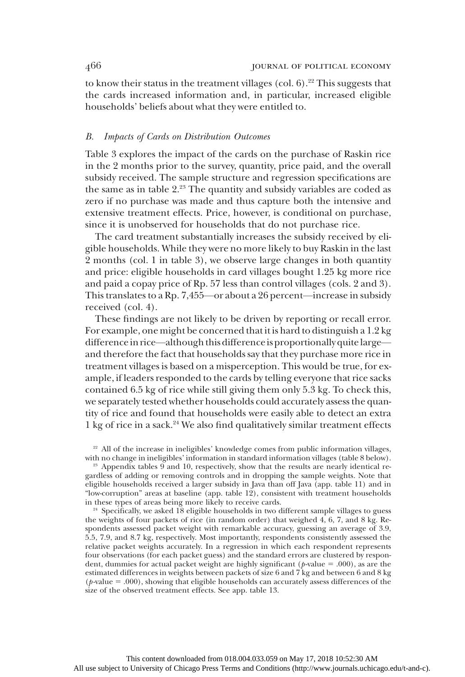to know their status in the treatment villages (col.  $6$ ).<sup>22</sup> This suggests that the cards increased information and, in particular, increased eligible households' beliefs about what they were entitled to.

#### B. Impacts of Cards on Distribution Outcomes

Table 3 explores the impact of the cards on the purchase of Raskin rice in the 2 months prior to the survey, quantity, price paid, and the overall subsidy received. The sample structure and regression specifications are the same as in table 2.<sup>23</sup> The quantity and subsidy variables are coded as zero if no purchase was made and thus capture both the intensive and extensive treatment effects. Price, however, is conditional on purchase, since it is unobserved for households that do not purchase rice.

The card treatment substantially increases the subsidy received by eligible households. While they were no more likely to buy Raskin in the last 2 months (col. 1 in table 3), we observe large changes in both quantity and price: eligible households in card villages bought 1.25 kg more rice and paid a copay price of Rp. 57 less than control villages (cols. 2 and 3). This translates to a Rp. 7,455—or about a 26 percent—increase in subsidy received (col. 4).

These findings are not likely to be driven by reporting or recall error. For example, one might be concerned that it is hard to distinguish a 1.2 kg difference in rice—although this difference is proportionally quite large and therefore the fact that households say that they purchase more rice in treatment villages is based on a misperception. This would be true, for example, if leaders responded to the cards by telling everyone that rice sacks contained 6.5 kg of rice while still giving them only 5.3 kg. To check this, we separately tested whether households could accurately assess the quantity of rice and found that households were easily able to detect an extra 1 kg of rice in a sack.<sup>24</sup> We also find qualitatively similar treatment effects

<sup>22</sup> All of the increase in ineligibles' knowledge comes from public information villages, with no change in ineligibles' information in standard information villages (table 8 below).

<sup>23</sup> Appendix tables 9 and 10, respectively, show that the results are nearly identical regardless of adding or removing controls and in dropping the sample weights. Note that eligible households received a larger subsidy in Java than off Java (app. table 11) and in "low-corruption" areas at baseline (app. table 12), consistent with treatment households in these types of areas being more likely to receive cards.

<sup>24</sup> Specifically, we asked 18 eligible households in two different sample villages to guess the weights of four packets of rice (in random order) that weighed 4, 6, 7, and 8 kg. Respondents assessed packet weight with remarkable accuracy, guessing an average of 3.9, 5.5, 7.9, and 8.7 kg, respectively. Most importantly, respondents consistently assessed the relative packet weights accurately. In a regression in which each respondent represents four observations (for each packet guess) and the standard errors are clustered by respondent, dummies for actual packet weight are highly significant ( $p$ -value = .000), as are the estimated differences in weights between packets of size 6 and 7 kg and between 6 and 8 kg  $(p$ -value = .000), showing that eligible households can accurately assess differences of the size of the observed treatment effects. See app. table 13.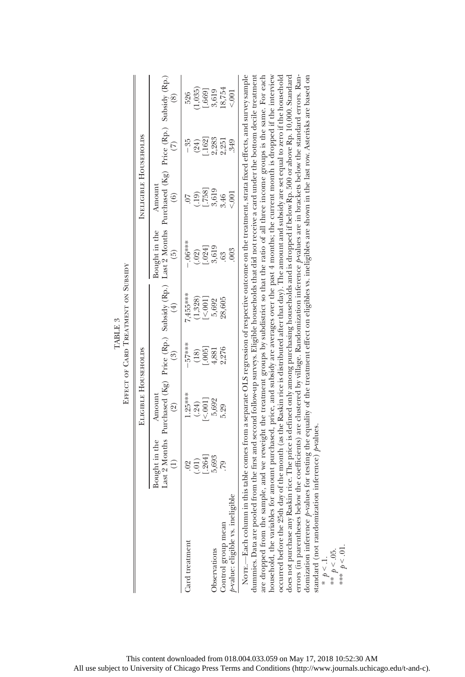|                                                                                                                                                                                                                                                                                                                                                                                                                                                                                                                                                                                                                                                                                                                                                                                                                                                                                                                                                                                                                                                                                                                                                                                                                                                                                    |                    |                           |                                              | EFFECT OF CARD TREATMENT ON SUBSIDY |                     |                                                                                                                                          |                 |                |
|------------------------------------------------------------------------------------------------------------------------------------------------------------------------------------------------------------------------------------------------------------------------------------------------------------------------------------------------------------------------------------------------------------------------------------------------------------------------------------------------------------------------------------------------------------------------------------------------------------------------------------------------------------------------------------------------------------------------------------------------------------------------------------------------------------------------------------------------------------------------------------------------------------------------------------------------------------------------------------------------------------------------------------------------------------------------------------------------------------------------------------------------------------------------------------------------------------------------------------------------------------------------------------|--------------------|---------------------------|----------------------------------------------|-------------------------------------|---------------------|------------------------------------------------------------------------------------------------------------------------------------------|-----------------|----------------|
|                                                                                                                                                                                                                                                                                                                                                                                                                                                                                                                                                                                                                                                                                                                                                                                                                                                                                                                                                                                                                                                                                                                                                                                                                                                                                    |                    | ELIGIBLE HOUSEHOLDS       |                                              |                                     |                     | INELIGIBLE HOUSEHOLDS                                                                                                                    |                 |                |
|                                                                                                                                                                                                                                                                                                                                                                                                                                                                                                                                                                                                                                                                                                                                                                                                                                                                                                                                                                                                                                                                                                                                                                                                                                                                                    | Bought in the<br>Ξ | Amount<br>ହି              | $\widehat{\mathbb{S}}$                       | $\widehat{E}$                       | Bought in the<br>6  | Last 2 Months Purchased (Kg) Price (Rp.) Subsidy (Rp.) Last 2 Months Purchased (Kg) Price (Rp.) Subsidy (Rp.)<br>Amount<br>$\widehat{6}$ | $\widehat{\in}$ | E              |
| Card treatment                                                                                                                                                                                                                                                                                                                                                                                                                                                                                                                                                                                                                                                                                                                                                                                                                                                                                                                                                                                                                                                                                                                                                                                                                                                                     | (.01)<br>$_{02}$   | $1.25***$<br>(.24)        | $-57***$                                     | 7,455****<br>(1, 328)               | $-06***$<br>(.02)   | (19)<br>$\overline{C}$                                                                                                                   | $-35$<br>(24)   | (1,035)<br>526 |
|                                                                                                                                                                                                                                                                                                                                                                                                                                                                                                                                                                                                                                                                                                                                                                                                                                                                                                                                                                                                                                                                                                                                                                                                                                                                                    | [.264]             | $\left[\times 001\right]$ | $\begin{bmatrix} .005 \\ .005 \end{bmatrix}$ | [<.001]                             |                     | [.758]                                                                                                                                   | [.162]          | [.669]         |
| Observations                                                                                                                                                                                                                                                                                                                                                                                                                                                                                                                                                                                                                                                                                                                                                                                                                                                                                                                                                                                                                                                                                                                                                                                                                                                                       | 5,693              | 5,692                     | 4,881                                        | 5,692                               | $[.024]$<br>$3,619$ | 3,619                                                                                                                                    | 2,283           | 3,619          |
| Control group mean                                                                                                                                                                                                                                                                                                                                                                                                                                                                                                                                                                                                                                                                                                                                                                                                                                                                                                                                                                                                                                                                                                                                                                                                                                                                 |                    | 5.29                      | 2,276                                        | 28,605                              | 63                  | 3.46                                                                                                                                     | 2,251           | 18,754         |
| p-value: eligible vs. ineligible                                                                                                                                                                                                                                                                                                                                                                                                                                                                                                                                                                                                                                                                                                                                                                                                                                                                                                                                                                                                                                                                                                                                                                                                                                                   |                    |                           |                                              |                                     | 003                 | $\sin 00$                                                                                                                                | 349             |                |
| errors (in parentheses below the coefficients) are dustered by village. Randomization inference Avalues are in brackets below the standard errors. Ran-<br>Norr.—Each column in this table comes from a separate OLS regression of respective outcome on the treatment, strata fixed effects, and survey sample<br>dummies. Data are pooled from the first and second follow-up surveys. Eligible households that did not receive a card under the bottom decile treatment<br>are dropped from the sample, and we reweight the treatment groups by subdistrict so that the ratio of all three income groups is the same. For each<br>household, the variables for amount purchased, price, and subsidy are averages over the past 4 months; the current month is dropped if the interview<br>occurred before the 25th day of the month (as the Raskin rice is distributed after that day). The amount and subsidy are set equal to zero if the household<br>does not purchase any Raskin rice. The price is defined only among purchasing households and is dropped if below Rp. 500 or above Rp. 10,000. Standard<br>domization inference p-values for testing the equality of the treatment effect on eligibles w. ineligibles are shown in the last row. Asterisks are based on |                    |                           |                                              |                                     |                     |                                                                                                                                          |                 |                |

standard (not randomization inference)  $p$ values.

standard (not randomization inference) pvalues.

\*  $p < 1$ .<br>\*\*  $p < 0.5$ . \*\*\*  $p < 01$ .

TABLE 3 TABLE 3

This content downloaded from 018.004.033.059 on May 17, 2018 10:52:30 AM All use subject to University of Chicago Press Terms and Conditions (http://www.journals.uchicago.edu/t-and-c).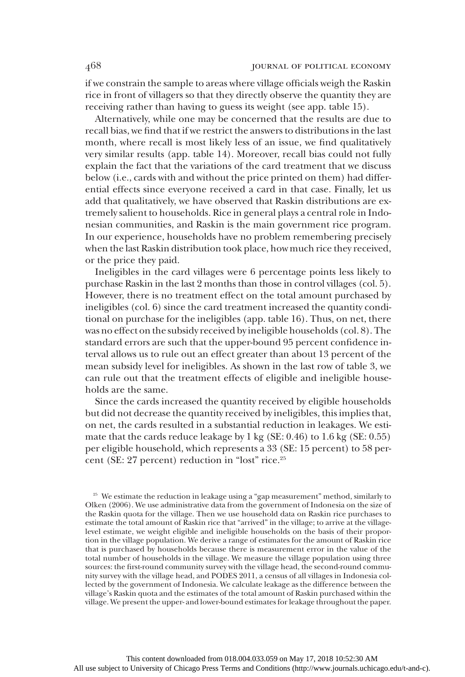if we constrain the sample to areas where village officials weigh the Raskin rice in front of villagers so that they directly observe the quantity they are receiving rather than having to guess its weight (see app. table 15).

Alternatively, while one may be concerned that the results are due to recall bias, we find that if we restrict the answers to distributions in the last month, where recall is most likely less of an issue, we find qualitatively very similar results (app. table 14). Moreover, recall bias could not fully explain the fact that the variations of the card treatment that we discuss below (i.e., cards with and without the price printed on them) had differential effects since everyone received a card in that case. Finally, let us add that qualitatively, we have observed that Raskin distributions are extremely salient to households. Rice in general plays a central role in Indonesian communities, and Raskin is the main government rice program. In our experience, households have no problem remembering precisely when the last Raskin distribution took place, how much rice they received, or the price they paid.

Ineligibles in the card villages were 6 percentage points less likely to purchase Raskin in the last 2 months than those in control villages (col. 5). However, there is no treatment effect on the total amount purchased by ineligibles (col. 6) since the card treatment increased the quantity conditional on purchase for the ineligibles (app. table 16). Thus, on net, there was no effect on the subsidy received by ineligible households (col. 8). The standard errors are such that the upper-bound 95 percent confidence interval allows us to rule out an effect greater than about 13 percent of the mean subsidy level for ineligibles. As shown in the last row of table 3, we can rule out that the treatment effects of eligible and ineligible households are the same.

Since the cards increased the quantity received by eligible households but did not decrease the quantity received by ineligibles, this implies that, on net, the cards resulted in a substantial reduction in leakages. We estimate that the cards reduce leakage by 1 kg (SE: 0.46) to 1.6 kg (SE: 0.55) per eligible household, which represents a 33 (SE: 15 percent) to 58 percent (SE: 27 percent) reduction in "lost" rice.<sup>25</sup>

<sup>&</sup>lt;sup>25</sup> We estimate the reduction in leakage using a "gap measurement" method, similarly to Olken (2006). We use administrative data from the government of Indonesia on the size of the Raskin quota for the village. Then we use household data on Raskin rice purchases to estimate the total amount of Raskin rice that "arrived" in the village; to arrive at the villagelevel estimate, we weight eligible and ineligible households on the basis of their proportion in the village population. We derive a range of estimates for the amount of Raskin rice that is purchased by households because there is measurement error in the value of the total number of households in the village. We measure the village population using three sources: the first-round community survey with the village head, the second-round community survey with the village head, and PODES 2011, a census of all villages in Indonesia collected by the government of Indonesia. We calculate leakage as the difference between the village's Raskin quota and the estimates of the total amount of Raskin purchased within the village. We present the upper- and lower-bound estimates for leakage throughout the paper.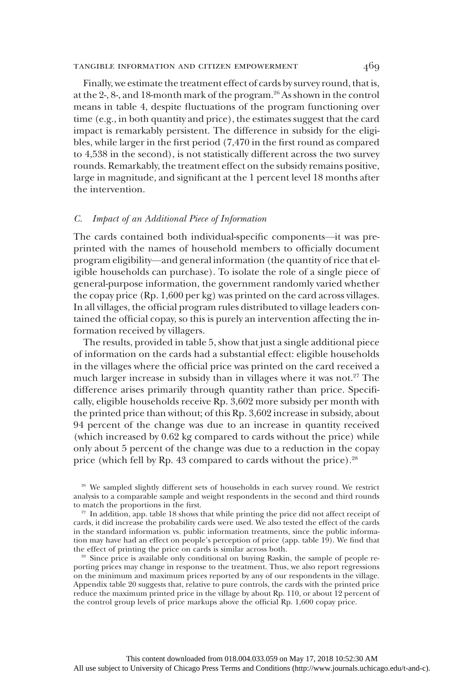## tangible information and citizen empowerment 469

Finally, we estimate the treatment effect of cards by survey round, that is, at the 2-, 8-, and 18-month mark of the program.26 As shown in the control means in table 4, despite fluctuations of the program functioning over time (e.g., in both quantity and price), the estimates suggest that the card impact is remarkably persistent. The difference in subsidy for the eligibles, while larger in the first period (7,470 in the first round as compared to 4,538 in the second), is not statistically different across the two survey rounds. Remarkably, the treatment effect on the subsidy remains positive, large in magnitude, and significant at the 1 percent level 18 months after the intervention.

### C. Impact of an Additional Piece of Information

The cards contained both individual-specific components—it was preprinted with the names of household members to officially document program eligibility—and general information (the quantity of rice that eligible households can purchase). To isolate the role of a single piece of general-purpose information, the government randomly varied whether the copay price (Rp. 1,600 per kg) was printed on the card across villages. In all villages, the official program rules distributed to village leaders contained the official copay, so this is purely an intervention affecting the information received by villagers.

The results, provided in table 5, show that just a single additional piece of information on the cards had a substantial effect: eligible households in the villages where the official price was printed on the card received a much larger increase in subsidy than in villages where it was not.<sup>27</sup> The difference arises primarily through quantity rather than price. Specifically, eligible households receive Rp. 3,602 more subsidy per month with the printed price than without; of this Rp. 3,602 increase in subsidy, about 94 percent of the change was due to an increase in quantity received (which increased by 0.62 kg compared to cards without the price) while only about 5 percent of the change was due to a reduction in the copay price (which fell by Rp. 43 compared to cards without the price).<sup>28</sup>

<sup>26</sup> We sampled slightly different sets of households in each survey round. We restrict analysis to a comparable sample and weight respondents in the second and third rounds to match the proportions in the first.

 $27$  In addition, app. table 18 shows that while printing the price did not affect receipt of cards, it did increase the probability cards were used. We also tested the effect of the cards in the standard information vs. public information treatments, since the public information may have had an effect on people's perception of price (app. table 19). We find that the effect of printing the price on cards is similar across both.

<sup>28</sup> Since price is available only conditional on buying Raskin, the sample of people reporting prices may change in response to the treatment. Thus, we also report regressions on the minimum and maximum prices reported by any of our respondents in the village. Appendix table 20 suggests that, relative to pure controls, the cards with the printed price reduce the maximum printed price in the village by about Rp. 110, or about 12 percent of the control group levels of price markups above the official Rp. 1,600 copay price.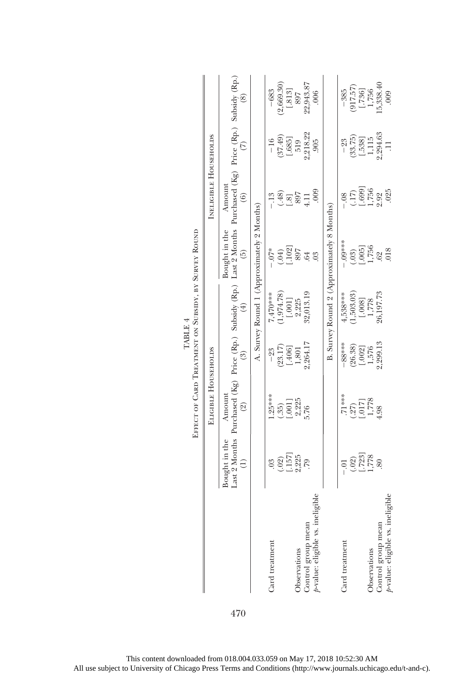|                                           |                                                         | EFFECT OF CARD TREATMENT ON SUBSIDY, BY SURVEY ROUND                                                                                                |                     |                   |                                            |                                                                |                                                         |                                             |
|-------------------------------------------|---------------------------------------------------------|-----------------------------------------------------------------------------------------------------------------------------------------------------|---------------------|-------------------|--------------------------------------------|----------------------------------------------------------------|---------------------------------------------------------|---------------------------------------------|
|                                           |                                                         | ELIGIBLE HOUSEHOLDS                                                                                                                                 |                     |                   |                                            | INELIGIBLE HOUSEHOLDS                                          |                                                         |                                             |
|                                           | Bought in the<br>E)                                     | Last 2 Months Purchased (Kg) Price (Rp.) Subsidy (Rp.) Last 2 Months Purchased (Kg) Price (Rp.) Subsidy (Rp.)<br>Amount<br>$\widehat{\mathfrak{D}}$ | $\binom{3}{2}$      | $(\pm)$           | Bought in the<br>$\widetilde{5}$           | Amount<br>$\circledcirc$                                       | $\widehat{C}$                                           | $\widehat{\circ}$                           |
|                                           |                                                         |                                                                                                                                                     |                     |                   | A. Survey Round 1 (Approximately 2 Months) |                                                                |                                                         |                                             |
| Card treatment                            | $\overline{0}$                                          | $.25***$                                                                                                                                            | $-23$               | $7,470***$        | $-7*$                                      | $-13$                                                          | $-16$                                                   | $-683$                                      |
|                                           |                                                         | $\cdot \cdot ^{35})$                                                                                                                                |                     | 1,974.78)         |                                            |                                                                |                                                         | 2,669.30                                    |
|                                           | $\begin{array}{c} (.02) \\ [.157] \\ 2,225 \end{array}$ | $\begin{array}{c} 1.0011 \\ 2.225 \\ 5.76 \end{array}$                                                                                              | $(23.17)$<br>[.406] | $[.001]$<br>2,225 | $(.04)$<br>[.102]                          | 397<br>181                                                     | $\begin{array}{c} (37.49) \\ [-685] \\ 519 \end{array}$ | $\begin{bmatrix} .813 \\ 897 \end{bmatrix}$ |
| Observations                              |                                                         |                                                                                                                                                     | 1,801<br>2,264.17   |                   | 897                                        |                                                                |                                                         |                                             |
| Control group mean                        | 64.                                                     |                                                                                                                                                     |                     | 32,013.19         | .64                                        | $\Xi$                                                          | 2,218.22                                                | 22,943.87                                   |
| tigible<br>$p$ -value: eligible vs. ineli |                                                         |                                                                                                                                                     |                     |                   | $\frac{3}{2}$                              | 000                                                            | 905                                                     | 006                                         |
|                                           |                                                         |                                                                                                                                                     |                     |                   | B. Survey Round 2 (Approximately 8 Months) |                                                                |                                                         |                                             |
| Card treatment                            | $-0.1$                                                  | $71***$                                                                                                                                             | $-88$ ***           | 4,538***          | $.09***$                                   | $\ddot{\circ}$                                                 | $-23$                                                   | $-385$                                      |
|                                           |                                                         |                                                                                                                                                     |                     | (1,503.03)        |                                            |                                                                | (33.75)                                                 |                                             |
|                                           | $(.02)$<br>[.723]                                       | $\begin{array}{c} (27) \\ (1017) \\ 1,778 \\ 4.98 \end{array}$                                                                                      | $(26.38)$<br>[.002] | [.008]            | $(0.03)$<br>[.005]                         | $\begin{array}{c} (.17) \\ -.699 \\ 1,756 \\ 2.92 \end{array}$ | [.538]                                                  | $(917.57)$ $[.736]$                         |
| Observations                              | ,778                                                    |                                                                                                                                                     | 1,576               | 1,778             | 1,756                                      |                                                                |                                                         | 1,756                                       |
| Control group mean                        | 80                                                      |                                                                                                                                                     | .,299.13            | 26,197.73         | $rac{62}{018}$                             |                                                                | 1,115<br>2,294.63                                       | 5,338.40                                    |
| ·ligible<br>p-value: eligible vs. ineli   |                                                         |                                                                                                                                                     |                     |                   |                                            | 025                                                            | $\Xi$                                                   | 000                                         |

|         | BY SUI                              |
|---------|-------------------------------------|
|         |                                     |
| TABLE 4 | <b>TREATMENT ON SUBSIDY,</b><br>ARD |

470

This content downloaded from 018.004.033.059 on May 17, 2018 10:52:30 AM All use subject to University of Chicago Press Terms and Conditions (http://www.journals.uchicago.edu/t-and-c).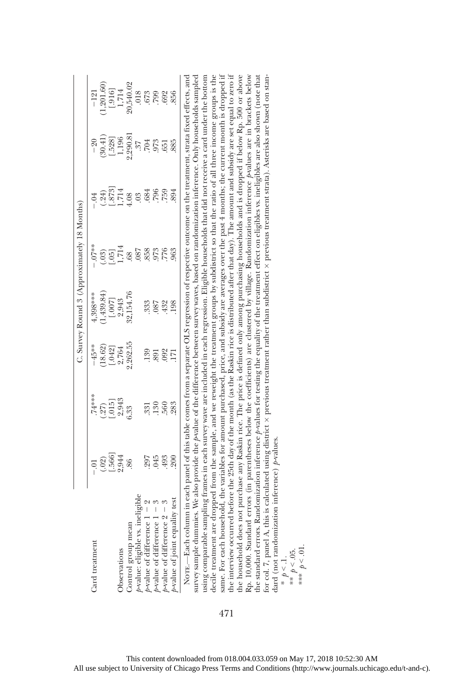|                                                                                                                                                                                                                                                                                                                                                                                                                                                                                                                                                                                                                                                                                                                                                                                                                                                                                                                                                                                                                                                                                                                                                                                                                                                                                                                                                                |         |                                                                                                                                    |            | C. Survey Round 3 (Approximately 18 Months) |                    |                       |            |                  |
|----------------------------------------------------------------------------------------------------------------------------------------------------------------------------------------------------------------------------------------------------------------------------------------------------------------------------------------------------------------------------------------------------------------------------------------------------------------------------------------------------------------------------------------------------------------------------------------------------------------------------------------------------------------------------------------------------------------------------------------------------------------------------------------------------------------------------------------------------------------------------------------------------------------------------------------------------------------------------------------------------------------------------------------------------------------------------------------------------------------------------------------------------------------------------------------------------------------------------------------------------------------------------------------------------------------------------------------------------------------|---------|------------------------------------------------------------------------------------------------------------------------------------|------------|---------------------------------------------|--------------------|-----------------------|------------|------------------|
| Card treatment                                                                                                                                                                                                                                                                                                                                                                                                                                                                                                                                                                                                                                                                                                                                                                                                                                                                                                                                                                                                                                                                                                                                                                                                                                                                                                                                                 | $-0.01$ | 74****                                                                                                                             | $-45**$    | 4,398***                                    | $-.07**$           | $-0.04$               | $-20$      | $-121$           |
|                                                                                                                                                                                                                                                                                                                                                                                                                                                                                                                                                                                                                                                                                                                                                                                                                                                                                                                                                                                                                                                                                                                                                                                                                                                                                                                                                                | (.02)   | (27)                                                                                                                               | (18.62)    | (1,439.84)                                  | (.03)              | (.24)                 | (30.41)    | (1, 201.60)      |
|                                                                                                                                                                                                                                                                                                                                                                                                                                                                                                                                                                                                                                                                                                                                                                                                                                                                                                                                                                                                                                                                                                                                                                                                                                                                                                                                                                | [566]   | [.015]                                                                                                                             | [.042]     | [.007]                                      | $\frac{05}{1,714}$ |                       | [.528]     | [.916]           |
| Observations                                                                                                                                                                                                                                                                                                                                                                                                                                                                                                                                                                                                                                                                                                                                                                                                                                                                                                                                                                                                                                                                                                                                                                                                                                                                                                                                                   | 2,944   | 2,943                                                                                                                              | 2,764      | 2,943                                       |                    | $\frac{1.873}{1.714}$ | 1,196      | 1,714            |
| Control group mean                                                                                                                                                                                                                                                                                                                                                                                                                                                                                                                                                                                                                                                                                                                                                                                                                                                                                                                                                                                                                                                                                                                                                                                                                                                                                                                                             | 86      | 6.33                                                                                                                               | 2,262.55   | 32,154.76                                   | .68                | 4.08                  | 2,290.81   | 20,540.02        |
| p-value: eligible vs. ineligible                                                                                                                                                                                                                                                                                                                                                                                                                                                                                                                                                                                                                                                                                                                                                                                                                                                                                                                                                                                                                                                                                                                                                                                                                                                                                                                               |         |                                                                                                                                    |            |                                             | .087               | .03                   | $\ddot{c}$ | .018             |
| $\frac{1}{2}$                                                                                                                                                                                                                                                                                                                                                                                                                                                                                                                                                                                                                                                                                                                                                                                                                                                                                                                                                                                                                                                                                                                                                                                                                                                                                                                                                  | 297     | .331                                                                                                                               | 139        | .333                                        | 858                | .684                  | 704.       | 673              |
| $\mathcal{C}$                                                                                                                                                                                                                                                                                                                                                                                                                                                                                                                                                                                                                                                                                                                                                                                                                                                                                                                                                                                                                                                                                                                                                                                                                                                                                                                                                  | 045     | .130                                                                                                                               | <b>S91</b> | 780.                                        | .973               | 796                   | .973       | $.799$<br>$.692$ |
| 8<br>$\frac{1}{p}$ -value of difference $1 - 1$<br>$\frac{1}{p}$ -value of difference $2 - 1$                                                                                                                                                                                                                                                                                                                                                                                                                                                                                                                                                                                                                                                                                                                                                                                                                                                                                                                                                                                                                                                                                                                                                                                                                                                                  | 493     | 560                                                                                                                                | .092       | 432                                         | 776                | 759                   | 651        |                  |
| test<br>$p$ -value of joint equality                                                                                                                                                                                                                                                                                                                                                                                                                                                                                                                                                                                                                                                                                                                                                                                                                                                                                                                                                                                                                                                                                                                                                                                                                                                                                                                           | 200     | 283                                                                                                                                | 171        | 198                                         | 963                | 894                   | 885        | 856              |
| same. For each household, the variables for amount purchased, price, and subsidy are averages over the past 4 months; the current month is dropped if<br>the interview occurred before the 25th day of the month (as the Raskin rice is distributed after that day). The amount and subsidy are set equal to zero if<br>all and the first contract of the contract of the contract of the contract of the contract of the contract of the contract of the contract of the contract of the contract of the contract of the contract of the contract of<br>decile treatment are dropped from the sample, and we reweight the treatment groups by subdistrict so that the ratio of all three income groups is the<br>the household does not purchase any Raskin rice. The price is defined only among purchasing households and is dropped if below Rp. 500 or above<br>Rp. 10,000. Standard errors (in parentheses below the coefficients) are clustered by village. Randomization inference pvalues are in brackets below<br>using comparable sampling frames in each survey wave are included in each regression. Eligible households that did not receive a card under the bottom<br>survey sample dummies. We also provide the Avalue of the difference between survey waves, based on randomization inference. Only households sampled<br>NOTE.-Each column |         | in each panel of this table comes from a separate OLS regression of respective outcome on the treatment, strata fixed effects, and |            |                                             |                    |                       |            |                  |

the standard errors. Randomization inference p-values for testing the equality of the treatment effect on eligibles ws. ineligibles are also shown (note that for col. 7, panel A, this is calculated using district x previous treatment rather than subdistrict x previous treatment strata). Asterisks are based on stanthe standard errors. Randomization inference  $\rho$ -values for testing the equality of the treatment effect on eligibles w. ineligibles are also shown (note that for col. 7, panel A, this is calculated using district previous treatment rather than subdistrict previous treatment strata). Asterisks are based on standard (not randomization inference)  $p$ -values. dard (not randomization inference)  $p$ -values. \*  $p < 1$ .<br>\*\*  $p < .05$ . 471

\*\*\*  $p < 01$ .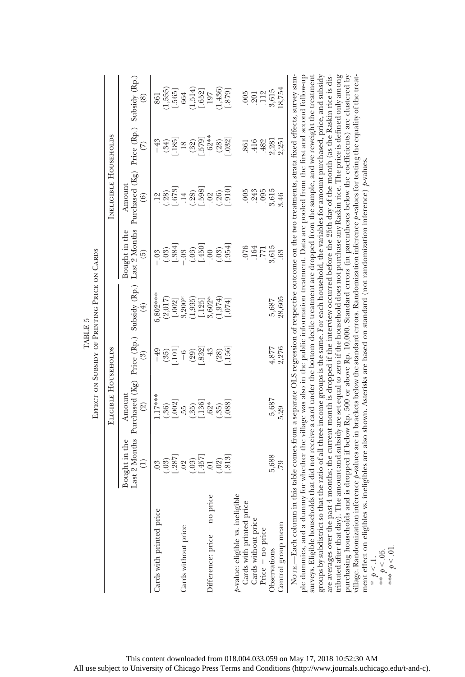|                                                                                                                                                                                                                                                                                                                                                                                                                                                                                                                                                                                                                                                                                                                                                                                                            |                                                          |                                                         |                                                                      | EFFECT ON SUBSIDY OF PRINTING PRICE ON CARDS |                                                                  |                                                                                                                                                                                                                                         |                                                                                                      |                                          |
|------------------------------------------------------------------------------------------------------------------------------------------------------------------------------------------------------------------------------------------------------------------------------------------------------------------------------------------------------------------------------------------------------------------------------------------------------------------------------------------------------------------------------------------------------------------------------------------------------------------------------------------------------------------------------------------------------------------------------------------------------------------------------------------------------------|----------------------------------------------------------|---------------------------------------------------------|----------------------------------------------------------------------|----------------------------------------------|------------------------------------------------------------------|-----------------------------------------------------------------------------------------------------------------------------------------------------------------------------------------------------------------------------------------|------------------------------------------------------------------------------------------------------|------------------------------------------|
|                                                                                                                                                                                                                                                                                                                                                                                                                                                                                                                                                                                                                                                                                                                                                                                                            |                                                          | ELIGIBLE HOUSEHOLDS                                     |                                                                      |                                              |                                                                  | <b>INELIGIBLE HOUSEHOLDS</b>                                                                                                                                                                                                            |                                                                                                      |                                          |
|                                                                                                                                                                                                                                                                                                                                                                                                                                                                                                                                                                                                                                                                                                                                                                                                            | Bought in the<br>Ξ,                                      | Last 2 Months Purchased (Kg)<br>Amount<br>$\widehat{2}$ | $\binom{3}{2}$                                                       | Price (Rp.) Subsidy (Rp.)<br>$\widehat{E}$   | Last 2 Months<br>Bought in the<br>$\widehat{5}$                  | Purchased (Kg) Price (Rp.)<br>Amount<br>$\widehat{6}$                                                                                                                                                                                   | $\widehat{\in}$                                                                                      | Subsidy (Rp.)<br>$\widehat{\circ}$       |
| Cards with printed price                                                                                                                                                                                                                                                                                                                                                                                                                                                                                                                                                                                                                                                                                                                                                                                   | (.03)<br>0 <sup>3</sup>                                  | $.17***$<br>(.36)                                       | $-49$                                                                | $6,802***$<br>(2,017)                        | $-0.9$                                                           | $\frac{12}{(.28)}$<br>[.673]                                                                                                                                                                                                            | $-43$<br>(34)                                                                                        | (1,555)<br>861                           |
| Cards without price                                                                                                                                                                                                                                                                                                                                                                                                                                                                                                                                                                                                                                                                                                                                                                                        | $\begin{bmatrix} .287 \\ .02 \\ .03 \end{bmatrix}$       | $\begin{bmatrix} .55 \\ .53 \\ .136 \end{bmatrix}$      | $\begin{bmatrix} (35) \\ 101 \\ -6 \\ (29) \\ -832 \\ \end{bmatrix}$ | $[.002]$<br>$3,200*$<br>$(1,935)$<br>[.125]  | $\begin{array}{c} (.03) \\ [.384] \\ -.03 \\ (.450] \end{array}$ | $(.28)$<br>[.598]<br>$\overline{14}$                                                                                                                                                                                                    | $\begin{array}{c} \begin{array}{c} \cdot \\ \cdot \\ 185 \end{array} \end{array}$<br>$(32)$<br>[579] | $(1,514)$<br>[.652]<br>$[.565]$<br>$664$ |
| price<br>Difference: price - no                                                                                                                                                                                                                                                                                                                                                                                                                                                                                                                                                                                                                                                                                                                                                                            | $\left[ .457\right] 0.1$<br>$\left[ 813\right]$<br>(.02) | .088<br>$.62*$<br>(.35)                                 | $(28)$<br>$.156$<br>$-43$                                            | (1,974)<br>3,602*<br>[.074]                  | $(.03)$<br>$[-954]$<br>$\ddot{\circ}$                            | [.910]<br>(.26)<br>$-0.02$                                                                                                                                                                                                              | $-62**$<br>[.032]<br>(28)                                                                            | $(1,436)$<br>[.879]<br>197               |
| $p$ value: eligible vs. ineligible Cards with printed price<br>Cards without price<br>Price $-$ no price<br>Observations                                                                                                                                                                                                                                                                                                                                                                                                                                                                                                                                                                                                                                                                                   | 5,688                                                    | 5,687                                                   |                                                                      | 5,687                                        | 3,615<br>.076<br>.164<br>.771                                    | 3,615<br>005<br>243<br>095                                                                                                                                                                                                              | 2,281<br>416<br>.482<br>.861                                                                         | $.112$<br>$3.615$<br>.005<br>.201        |
| Control group mean                                                                                                                                                                                                                                                                                                                                                                                                                                                                                                                                                                                                                                                                                                                                                                                         | .79                                                      | 5.29                                                    | 4,877<br>2,276                                                       | 28,605                                       | .63                                                              | 3.46                                                                                                                                                                                                                                    | 2,251                                                                                                | 18,754                                   |
| surveys. Eligible households that did not receive a <sup>-</sup> card under the bottom decile treatment are dropped from the sample, and we reweight the treatment groups by subdistrict so that the ratio of all three income groups is<br>NOTE—Each column in this table comes from a separate OLS regression of respective outcome on the two treatments, strata fixed effects, survey sam-<br>ple dummies, and a dummy for whether the village was also in the public information treatment. Data are pooled from the first and second follow-up<br>village. Randomization inference p-values are in brackets below the standard errors. Randomization inference p-values for testing the equality of the treat-<br>purchasing households<br>ment effect on eligibles<br>* $p < 1$ .<br>** $p < 0.5$ . |                                                          |                                                         |                                                                      |                                              |                                                                  | and is dropped if below Rp. 500 or above Rp. 10,000. Standard errors (in parentheses below the coefficients) are clustered by<br>vs. ineligibles are also shown. Asterisks are based on standard (not randomization inference) p-values |                                                                                                      |                                          |

TABLE 5<br>OF PRINTING PRICE TABLE 5 **DATE**  $\sim$  Stip

This content downloaded from 018.004.033.059 on May 17, 2018 10:52:30 AM All use subject to University of Chicago Press Terms and Conditions (http://www.journals.uchicago.edu/t-and-c).

\*\*\*  $p < 01$ .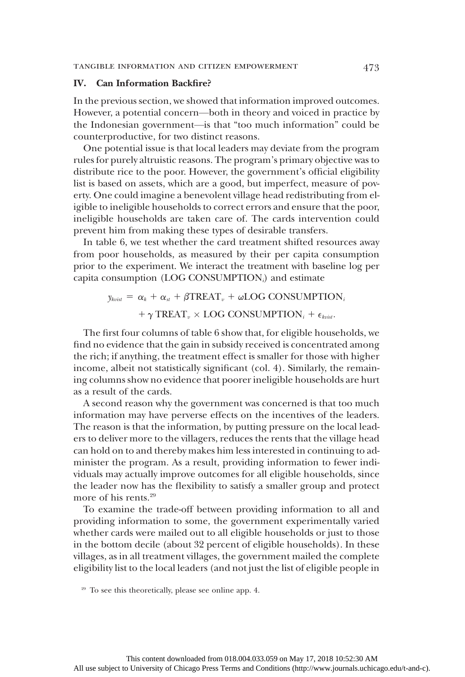### IV. Can Information Backfire?

In the previous section, we showed that information improved outcomes. However, a potential concern—both in theory and voiced in practice by the Indonesian government—is that "too much information" could be counterproductive, for two distinct reasons.

One potential issue is that local leaders may deviate from the program rules for purely altruistic reasons. The program's primary objective was to distribute rice to the poor. However, the government's official eligibility list is based on assets, which are a good, but imperfect, measure of poverty. One could imagine a benevolent village head redistributing from eligible to ineligible households to correct errors and ensure that the poor, ineligible households are taken care of. The cards intervention could prevent him from making these types of desirable transfers.

In table 6, we test whether the card treatment shifted resources away from poor households, as measured by their per capita consumption prior to the experiment. We interact the treatment with baseline log per capita consumption (LOG CONSUMPTION $_i$ ) and estimate

> $y_{kvisit} = \alpha_k + \alpha_{st} + \beta \text{TREAT}_{v} + \omega \text{LOG CONSUMPTION}_{i}$  $+ \gamma \text{TREAT}_{v} \times \text{LOG CONSUMPTION}_{i} + \epsilon_{krist}.$

The first four columns of table 6 show that, for eligible households, we find no evidence that the gain in subsidy received is concentrated among the rich; if anything, the treatment effect is smaller for those with higher income, albeit not statistically significant (col. 4). Similarly, the remaining columns show no evidence that poorer ineligible households are hurt as a result of the cards.

A second reason why the government was concerned is that too much information may have perverse effects on the incentives of the leaders. The reason is that the information, by putting pressure on the local leaders to deliver more to the villagers, reduces the rents that the village head can hold on to and thereby makes him less interested in continuing to administer the program. As a result, providing information to fewer individuals may actually improve outcomes for all eligible households, since the leader now has the flexibility to satisfy a smaller group and protect more of his rents.<sup>29</sup>

To examine the trade-off between providing information to all and providing information to some, the government experimentally varied whether cards were mailed out to all eligible households or just to those in the bottom decile (about 32 percent of eligible households). In these villages, as in all treatment villages, the government mailed the complete eligibility list to the local leaders (and not just the list of eligible people in

<sup>29</sup> To see this theoretically, please see online app. 4.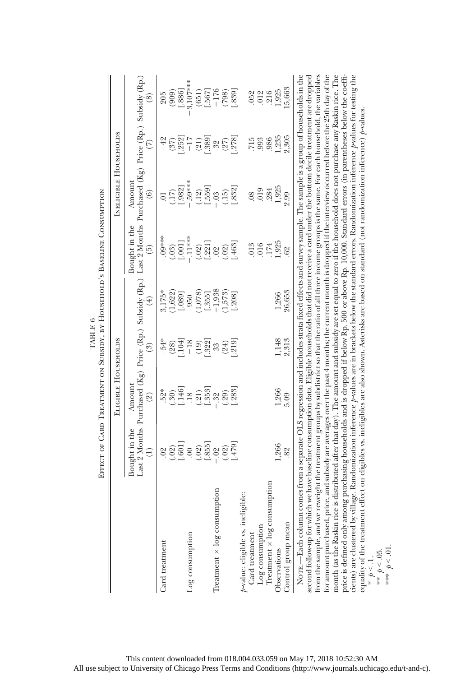|                                                                                                                                                                                                                                                                                                                                                                                                                                                                                                                                                                                                                                                                                                                                                                                                                                                                                                                                                                                                                                                                                                                                                                | EFFECT OF CARD TREATMENT ON SUBSIDY, BY HOUSEHOLD'S BASELINE CONSUMPTION |                                                                                              |                                                                 |                                                         |                                                        |                                                                                                                                      |                                                            |                                       |
|----------------------------------------------------------------------------------------------------------------------------------------------------------------------------------------------------------------------------------------------------------------------------------------------------------------------------------------------------------------------------------------------------------------------------------------------------------------------------------------------------------------------------------------------------------------------------------------------------------------------------------------------------------------------------------------------------------------------------------------------------------------------------------------------------------------------------------------------------------------------------------------------------------------------------------------------------------------------------------------------------------------------------------------------------------------------------------------------------------------------------------------------------------------|--------------------------------------------------------------------------|----------------------------------------------------------------------------------------------|-----------------------------------------------------------------|---------------------------------------------------------|--------------------------------------------------------|--------------------------------------------------------------------------------------------------------------------------------------|------------------------------------------------------------|---------------------------------------|
|                                                                                                                                                                                                                                                                                                                                                                                                                                                                                                                                                                                                                                                                                                                                                                                                                                                                                                                                                                                                                                                                                                                                                                |                                                                          | ELIGIBLE HOUSEHOLDS                                                                          |                                                                 |                                                         |                                                        | <b>INELIGIBLE HOUSEHOLDS</b>                                                                                                         |                                                            |                                       |
|                                                                                                                                                                                                                                                                                                                                                                                                                                                                                                                                                                                                                                                                                                                                                                                                                                                                                                                                                                                                                                                                                                                                                                | Bought in the<br>Ê)                                                      | Last 2 Months Purchased (Kg) Price (Rp.) Subsidy (Rp.)<br>Amount<br>$\widehat{\mathfrak{A}}$ | $\widehat{\mathrm{S}}$                                          | $\left( \pm \right)$                                    | Bought in the<br>$\widehat{5}$                         | Last 2 Months Purchased (Kg) Price (Rp.) Subsidy (Rp.)<br>Amount<br>$\widehat{\mathbf{e}}$                                           | $\widehat{\in}$                                            | $\widehat{\circ}$                     |
| Card treatment                                                                                                                                                                                                                                                                                                                                                                                                                                                                                                                                                                                                                                                                                                                                                                                                                                                                                                                                                                                                                                                                                                                                                 | $-02$<br>$(001)$<br>$[.601]$<br>$00$                                     | $.52*$<br>$(.30)$<br>$(.146)$                                                                | $-54*$<br>$\begin{array}{c} (28) \\ \textbf{[}104] \end{array}$ | $3,175*$<br>$(1,622)$<br>[.089]                         | $-0.00$<br>[1001]<br>(.03)                             | $\overline{0}$                                                                                                                       | $\begin{array}{c} (37) \\ 252 \\ -17 \end{array}$<br>$-42$ | [.886]<br>(909)<br>205                |
| Log consumption                                                                                                                                                                                                                                                                                                                                                                                                                                                                                                                                                                                                                                                                                                                                                                                                                                                                                                                                                                                                                                                                                                                                                | $\begin{array}{c} (02) \\[-4pt] 1.855 \\[-4pt] -02 \end{array}$          | $\frac{18}{(21)}$<br>[.353]                                                                  | $\begin{array}{c} (19) \\ -322 \\ 33 \end{array}$<br>$-18$      | $\begin{array}{c} (1,078) \\ \hline \end{array}$<br>950 | $-11***$<br>$\begin{array}{c} (02) \\ 221 \end{array}$ | $\begin{array}{l} (17) \\ [-982] \\ [-59** \\ (-12) \\ (-159)] \end{array}$                                                          | $\frac{(21)}{389}$                                         | $3,107***$<br>[.567]<br>(651)         |
| Treatment $\times$ log consumption                                                                                                                                                                                                                                                                                                                                                                                                                                                                                                                                                                                                                                                                                                                                                                                                                                                                                                                                                                                                                                                                                                                             | $(.02)$<br>$(.479)$                                                      | $(.29)$<br>$(.283]$<br>.32                                                                   | $(24)$<br>$(219)$                                               | $-1,938$<br>(1,573)<br>[.208]                           | .463]<br>(02)<br>.02                                   | $\frac{(.15)}{1.832}$<br>$-0.03$                                                                                                     | 3278                                                       | $-176$<br>[688]                       |
| $\rm Log$ consumption $\rm Tream$ at $\times$ $\log$ consumption<br>igible:<br>$p$ -value: eligible vs. ineli $C$ ard treatment<br>Control group mean<br>Observations                                                                                                                                                                                                                                                                                                                                                                                                                                                                                                                                                                                                                                                                                                                                                                                                                                                                                                                                                                                          | 1,266<br>82                                                              | $1,266$<br>$5.09$                                                                            | 1,148<br>2,313                                                  | 26,653<br>1,266                                         | $1,925$<br>$.62$<br>016<br>174<br>.013                 | 1,925<br>019<br>.284<br>$_{08}$<br>2.99                                                                                              | 1,235<br>2,305<br>715<br>993<br>986                        | 15,663<br>1,925<br>216<br>012<br>.052 |
| for amount purchased, price, and subsidy are averages over the past 4 months; the current month is dropped if the interview occurred before the 25th day of the<br>month (as the Raskin rice is distributed after that day). The<br>price is defined only among purchasing households and is dropped if below Rp. 500 or above Rp. 10,000. Standard errors (in parentheses below the coeffi-<br>from the sample, and we reweight the treatment groups by subdistrict so that the ratio of all three income groups is the same. For each household, the variables<br>cients) are clustered by village. Randomization inference p-values are in brackets below the standard errors. Randomization inference p-values for testing the<br>second follow-up for which we have baseline consumption data. Eligible households that did not receive a card under the bottom decile treatment are dropped<br>equality of the treament effect on eligibles vs. ineligibles are also shown. Asterisks are based on standard cnot randomization inference p-values, $\frac{*}{t} \rho < 0.1$ .<br>$\frac{*}{t} \rho < 0.05$ .<br>*** $\rho < 0.05$ .<br>NOTE.-Each column |                                                                          |                                                                                              |                                                                 |                                                         |                                                        | comes from a separate OLS regression and includes strata fixed effects and survey sample. The sample is a group of households in the |                                                            |                                       |

TABLE  $6\,$ TABLE 6

This content downloaded from 018.004.033.059 on May 17, 2018 10:52:30 AM All use subject to University of Chicago Press Terms and Conditions (http://www.journals.uchicago.edu/t-and-c).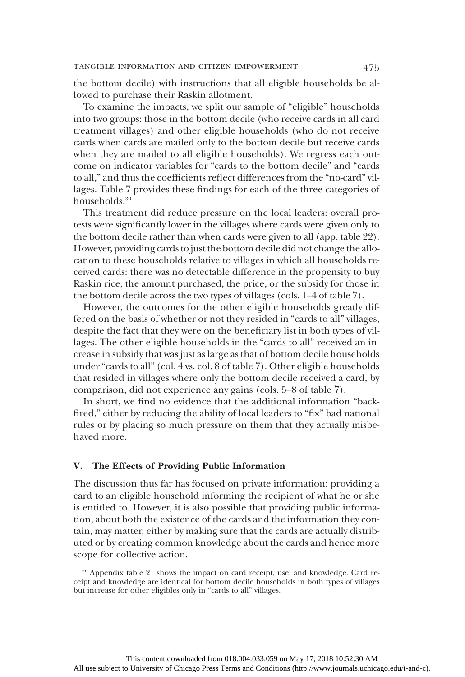the bottom decile) with instructions that all eligible households be allowed to purchase their Raskin allotment.

To examine the impacts, we split our sample of "eligible" households into two groups: those in the bottom decile (who receive cards in all card treatment villages) and other eligible households (who do not receive cards when cards are mailed only to the bottom decile but receive cards when they are mailed to all eligible households). We regress each outcome on indicator variables for "cards to the bottom decile" and "cards to all," and thus the coefficients reflect differences from the "no-card" villages. Table 7 provides these findings for each of the three categories of households.<sup>30</sup>

This treatment did reduce pressure on the local leaders: overall protests were significantly lower in the villages where cards were given only to the bottom decile rather than when cards were given to all (app. table 22). However, providing cards to just the bottom decile did not change the allocation to these households relative to villages in which all households received cards: there was no detectable difference in the propensity to buy Raskin rice, the amount purchased, the price, or the subsidy for those in the bottom decile across the two types of villages (cols. 1–4 of table 7).

However, the outcomes for the other eligible households greatly differed on the basis of whether or not they resided in "cards to all" villages, despite the fact that they were on the beneficiary list in both types of villages. The other eligible households in the "cards to all" received an increase in subsidy that was just as large as that of bottom decile households under "cards to all" (col. 4 vs. col. 8 of table 7). Other eligible households that resided in villages where only the bottom decile received a card, by comparison, did not experience any gains (cols. 5–8 of table 7).

In short, we find no evidence that the additional information "backfired," either by reducing the ability of local leaders to "fix" bad national rules or by placing so much pressure on them that they actually misbehaved more.

## V. The Effects of Providing Public Information

The discussion thus far has focused on private information: providing a card to an eligible household informing the recipient of what he or she is entitled to. However, it is also possible that providing public information, about both the existence of the cards and the information they contain, may matter, either by making sure that the cards are actually distributed or by creating common knowledge about the cards and hence more scope for collective action.

<sup>30</sup> Appendix table 21 shows the impact on card receipt, use, and knowledge. Card receipt and knowledge are identical for bottom decile households in both types of villages but increase for other eligibles only in "cards to all" villages.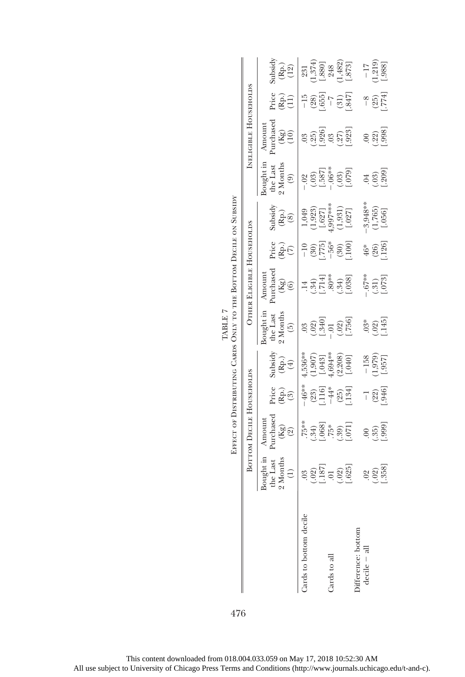|                                                                                                       |                                                                                                                                                                                                                                                                                                                                                                 | EFFECT OF DISTRIBUTING CARDS ONLY TO THE BOTTOM DECILE ON SUBSIDY |                                                           |                                                                          |                                                                                        |                                                                 |                                 |                                                         |                                                   |                                    |                                                |                                                                                   |
|-------------------------------------------------------------------------------------------------------|-----------------------------------------------------------------------------------------------------------------------------------------------------------------------------------------------------------------------------------------------------------------------------------------------------------------------------------------------------------------|-------------------------------------------------------------------|-----------------------------------------------------------|--------------------------------------------------------------------------|----------------------------------------------------------------------------------------|-----------------------------------------------------------------|---------------------------------|---------------------------------------------------------|---------------------------------------------------|------------------------------------|------------------------------------------------|-----------------------------------------------------------------------------------|
|                                                                                                       |                                                                                                                                                                                                                                                                                                                                                                 | <b>BOTTOM DECILE HOUSEHOLDS</b>                                   |                                                           |                                                                          |                                                                                        | <b>OTHER ELIGIBLE HOUSEHOLDS</b>                                |                                 |                                                         |                                                   | INELIGIBLE HOUSEHOLDS              |                                                |                                                                                   |
|                                                                                                       | Bought in<br>2 Months<br>the Last<br>$\widehat{\mathbf{C}}$                                                                                                                                                                                                                                                                                                     | Purchased<br>(Kg)<br>(2)<br>Amoun <sup>-</sup>                    | Price<br><u>မြ</u> ဲစ                                     | Subsidy<br>(Rp.)<br>(4)                                                  | $\mathop{\rm S}\nolimits$<br>the Last<br>? Months<br>$\begin{pmatrix} 5 \end{pmatrix}$ | Purchased<br>$(Kg)$<br>$(6)$<br>Amoun <sup>-</sup>              | Price<br>(Bi)<br>(7)            | Subsidy<br>$(\stackrel{\frown}{R}\stackrel{\frown}{0})$ | Bought in<br>the Last<br>2 Months<br>ම            | Purchased<br>(Kg)<br>(10)<br>Amoun | Price<br>$\hat{R}_{11}^{(1)}$                  | Subsidy<br>$\begin{pmatrix} \text{Rp} \ 12 \end{pmatrix}$                         |
| Cards to bottom decile                                                                                |                                                                                                                                                                                                                                                                                                                                                                 | $75**$                                                            |                                                           |                                                                          | $\begin{array}{c} (02) \\ 1.340 \end{array}$                                           |                                                                 | $\left(\frac{30}{775}\right)$   | $1,049$<br>$(1,923)$<br>$[.627]$<br>$[.997***$          | $-02$<br>$(-03)$<br>$-587$<br>$-06$ <sup>**</sup> | $\frac{3}{2}$                      | $(28)$<br>$(655)$                              |                                                                                   |
| Cards to all                                                                                          | $\begin{array}{l} 03 \\[-4pt] 0 \\[-4pt] 0 \\[-4pt] 0 \\[-4pt] 0 \\[-4pt] 0 \\[-4pt] 0 \\[-4pt] 0 \\[-4pt] 0 \\[-4pt] 0 \\[-4pt] 0 \\[-4pt] 0 \\[-4pt] 0 \\[-4pt] 0 \\[-4pt] 0 \\[-4pt] 0 \\[-4pt] 0 \\[-4pt] 0 \\[-4pt] 0 \\[-4pt] 0 \\[-4pt] 0 \\[-4pt] 0 \\[-4pt] 0 \\[-4pt] 0 \\[-4pt] 0 \\[-4pt] 0 \\[-4pt] 0 \\[-4pt] 0 \\[-4pt] 0 \\[-4pt] 0 \\[-4pt] 0$ | $(34)$<br>$(368)$<br>$(368)$<br>$(56)$<br>$(56)$                  | $-46**$<br>$(23)$<br>$-116$<br>$-44*$<br>$(25)$<br>$(25)$ | $4,536**$<br>$(1,907)$<br>$(1,043)$<br>$4,694**$<br>$(2,208)$<br>$(040)$ | $(.02)$<br>$[.756]$                                                                    | $\begin{array}{c} (.34) \\ -.303 \\ -.303 \\ -.303 \end{array}$ | $-56*$<br>$(30)$<br>$100$       | $\begin{bmatrix} 1.931 \\ 0.027 \end{bmatrix}$          | $(03)$<br>$[-079]$                                | (25)<br>[.926]<br>[.923]<br>[.923] | $\binom{31}{847}$<br>$\widetilde{\phantom{a}}$ | $\begin{array}{c} 231 \\ 1,374) \\ [.800] \\ 248 \\ 1,482) \\ [.873] \end{array}$ |
| $\begin{array}{ll}\n\text{Differenter:} & \text{bottom} \\ \text{decile} & -\text{ all}\n\end{array}$ |                                                                                                                                                                                                                                                                                                                                                                 | $(35)$<br>$(35)$<br>$(999)$                                       | $(22)$<br>$946$ ]<br>ī                                    | $\frac{-158}{1,979}$<br>[.957]                                           | $\frac{3}{3}$<br>$\frac{2}{3}$<br>$\frac{145}{1}$                                      | $\begin{array}{c} -.67** \\ (.31) \\ (.073] \end{array}$        | $\frac{46}{96}$<br>(26)<br>126] | $-3,948**$<br>(1,765)<br>[.056]                         | $(1000)$<br>$(000)$                               |                                    | $-8$<br>(25)<br>774]                           | $\frac{-17}{1,219}$<br>[.988]                                                     |

476

TABLE 7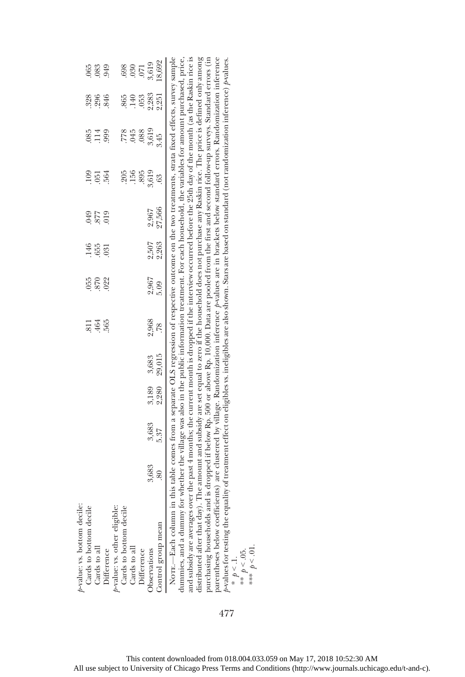| $p$ -value: vs. bottom decile:                                                                                                                                  |                                                                                                                                  |       |       |        |              |                   |                      |                   |       |                 |                   |                      |
|-----------------------------------------------------------------------------------------------------------------------------------------------------------------|----------------------------------------------------------------------------------------------------------------------------------|-------|-------|--------|--------------|-------------------|----------------------|-------------------|-------|-----------------|-------------------|----------------------|
| Cards to bottom decile                                                                                                                                          |                                                                                                                                  |       |       |        |              |                   |                      |                   |       |                 |                   |                      |
| Cards to all                                                                                                                                                    |                                                                                                                                  |       |       |        | 34.565       | 055<br>870<br>022 | 146<br>65<br>03<br>1 | 610<br>428<br>640 | 1054  | 85<br>114<br>99 | 326<br>396<br>346 | 065<br>083<br>049    |
| Difference                                                                                                                                                      |                                                                                                                                  |       |       |        |              |                   |                      |                   |       |                 |                   |                      |
| p-value: vs. other eligible:                                                                                                                                    |                                                                                                                                  |       |       |        |              |                   |                      |                   |       |                 |                   |                      |
| Cards to bottom decile                                                                                                                                          |                                                                                                                                  |       |       |        |              |                   |                      |                   | 205   |                 |                   |                      |
| Cards to all                                                                                                                                                    |                                                                                                                                  |       |       |        |              |                   |                      |                   | 156   | 778<br>875      | 865<br>140<br>153 | 698<br>0.80<br>5,619 |
| Difference                                                                                                                                                      |                                                                                                                                  |       |       |        |              |                   |                      |                   | .895  | .088            |                   |                      |
| Observations                                                                                                                                                    | 3,683                                                                                                                            | 3,683 | 3,189 | 3,683  | 2,968<br>.78 | 2,967             | 2,507                | 2,967             | 3,619 | 3,619           | 2,283<br>2,251    |                      |
| Control group mean                                                                                                                                              |                                                                                                                                  | 5.37  | 2,280 | 29,015 |              | 5.09              | 2,263                | 27,566            | 63    | 3.45            |                   | 18,692               |
| NOTE.--Each column in t                                                                                                                                         | this table comes from a separate OLS regression of respective outcome on the two treatments, strata fixed effects, survey sample |       |       |        |              |                   |                      |                   |       |                 |                   |                      |
| dummies, and a dummy for whether the village was also in the public information treatment. For each household, the variables for amount purchased, price,       |                                                                                                                                  |       |       |        |              |                   |                      |                   |       |                 |                   |                      |
| and subsidy are averages over the past 4 months; the current month is dropped if the interview occurred before the 25th day of the month (as the Raskin rice is |                                                                                                                                  |       |       |        |              |                   |                      |                   |       |                 |                   |                      |

ana suosay are averages over ure past 4 monuss; ure current monum is uroppeu n ure muervew occurreu oerore ure 201 cay ou ure monum (as ure kassam nee is distributed after that day). The amount and subsidy are set equal to  $b$  values for testing the equality of treatment effect on eligibles w. ineligibles are also shown. Stars are based on standard (not randomization inference)  $p$ values. and subsidy are averages over the past 4 months; the current month is dropped if the interview occurred before the 25th day of the month (as the Raskin rice is distributed after that day). The amount and subsidy are set equal to zero if the household does not purchase any Raskin rice. The price is defined only among purchasing households and is dropped if below Rp. 500 or above Rp. 10,000. Data are pooled from the first and second follow-up surveys. Standard errors (in parentheses below coefficients) are clustered by village. Randomization inference p -values are in brackets below standard errors. Randomization inference p -values for testing the equality of treatment effect on eligibles vs. ineligibles are also shown. Stars are based on standard (not randomization inference) p-values. \*\*  $p < .05$ .<br>\*\*\*  $p < .01$ . \*  $p < 1$ .

477

\*\*\*  $p < 01$ .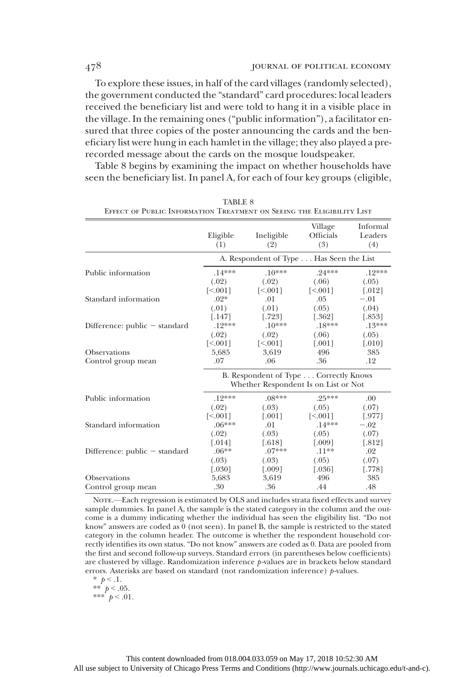To explore these issues, in half of the card villages (randomly selected), the government conducted the "standard" card procedures: local leaders received the beneficiary list and were told to hang it in a visible place in the village. In the remaining ones ("public information"), a facilitator ensured that three copies of the poster announcing the cards and the beneficiary list were hung in each hamlet in the village; they also played a prerecorded message about the cards on the mosque loudspeaker.

Table 8 begins by examining the impact on whether households have seen the beneficiary list. In panel A, for each of four key groups (eligible,

|                                 | Eligible<br>(1)             | Ineligible<br>(2)                       | Village<br>Officials<br>(3) | Informal<br>Leaders<br>(4) |
|---------------------------------|-----------------------------|-----------------------------------------|-----------------------------|----------------------------|
|                                 |                             | A. Respondent of Type Has Seen the List |                             |                            |
| Public information              | $.14***$                    | $.10***$                                | $.24***$                    | $.12***$                   |
|                                 | (.02)                       | (.02)                                   | (.06)                       | (.05)                      |
|                                 | $\lceil 5001 \rceil$        | $\lceil 5001 \rceil$                    | $\lceil 5001 \rceil$        | $\lceil .012 \rceil$       |
| Standard information            | $.02*$                      | .01                                     | .05                         | $-.01$                     |
|                                 | (.01)                       | (.01)                                   | (.05)                       | (.04)                      |
|                                 | $\left[ .147\right]$        | [.723]                                  | $[.362]$                    | $[.853]$                   |
| Difference: $public - standard$ | $.12***$                    | $.10***$                                | $.18***$                    | $.13***$                   |
|                                 | (.02)                       | (.02)                                   | (.06)                       | (.05)                      |
|                                 | $\left[ \leq 0.001 \right]$ | $\lceil 5.001 \rceil$                   | $[.001]$                    | $\lceil .010 \rceil$       |
| <b>Observations</b>             | 5,685                       | 3,619                                   | 496                         | 385                        |
| Control group mean              | .07                         | .06                                     | .36                         | .12                        |
|                                 |                             | B. Respondent of Type Correctly Knows   |                             |                            |
|                                 |                             | Whether Respondent Is on List or Not    |                             |                            |
| Public information              | $.19***$                    | $.08***$                                | $.25***$                    | .00.                       |
|                                 | (.02)                       | (.03)                                   | (.05)                       | (.07)                      |
|                                 | $\lceil 5001 \rceil$        | $\lceil .001 \rceil$                    | $\lceil 5001 \rceil$        | [.977]                     |
| Standard information            | $.06***$                    | .01                                     | $.14***$                    | $-.02$                     |
|                                 | (.02)                       | (.03)                                   | (.05)                       | (.07)                      |
|                                 | $[.014]$                    | $[.618]$                                | $[.009]$                    | $[.812]$                   |
| Difference: $public - standard$ | $.06***$                    | $.07***$                                | $.11***$                    | .02                        |
|                                 | (.03)                       | (.03)                                   | (.05)                       | (.07)                      |
|                                 | $[.030]$                    | $[.009]$                                | $\left[ .036\right]$        | [.778]                     |
| <b>Observations</b>             | 5,683                       | 3,619                                   | 496                         | 385                        |
| Control group mean              | .30                         | .36                                     | .44                         | .48                        |

TABLE 8 Effect of Public Information Treatment on Seeing the Eligibility List

NOTE.—Each regression is estimated by OLS and includes strata fixed effects and survey sample dummies. In panel A, the sample is the stated category in the column and the outcome is a dummy indicating whether the individual has seen the eligibility list. "Do not know" answers are coded as 0 (not seen). In panel B, the sample is restricted to the stated category in the column header. The outcome is whether the respondent household correctly identifies its own status. "Do not know" answers are coded as 0. Data are pooled from the first and second follow-up surveys. Standard errors (in parentheses below coefficients) are clustered by village. Randomization inference p-values are in brackets below standard errors. Asterisks are based on standard (not randomization inference)  $p$ -values.

\*  $p < 0.1$ . \*\*  $p < .05$ . \*\*\* $\sp{^t} > .01$  .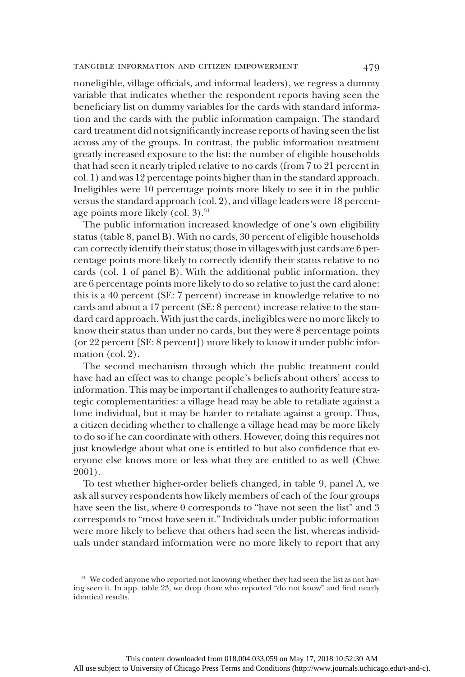noneligible, village officials, and informal leaders), we regress a dummy variable that indicates whether the respondent reports having seen the beneficiary list on dummy variables for the cards with standard information and the cards with the public information campaign. The standard card treatment did not significantly increase reports of having seen the list across any of the groups. In contrast, the public information treatment greatly increased exposure to the list: the number of eligible households that had seen it nearly tripled relative to no cards (from 7 to 21 percent in col. 1) and was 12 percentage points higher than in the standard approach. Ineligibles were 10 percentage points more likely to see it in the public versus the standard approach (col. 2), and village leaders were 18 percentage points more likely (col. 3).<sup>31</sup>

The public information increased knowledge of one's own eligibility status (table 8, panel B). With no cards, 30 percent of eligible households can correctly identify their status; those in villages with just cards are 6 percentage points more likely to correctly identify their status relative to no cards (col. 1 of panel B). With the additional public information, they are 6 percentage points more likely to do so relative to just the card alone: this is a 40 percent (SE: 7 percent) increase in knowledge relative to no cards and about a 17 percent (SE: 8 percent) increase relative to the standard card approach. With just the cards, ineligibles were no more likely to know their status than under no cards, but they were 8 percentage points (or 22 percent [SE: 8 percent]) more likely to know it under public information (col. 2).

The second mechanism through which the public treatment could have had an effect was to change people's beliefs about others' access to information. This may be important if challenges to authority feature strategic complementarities: a village head may be able to retaliate against a lone individual, but it may be harder to retaliate against a group. Thus, a citizen deciding whether to challenge a village head may be more likely to do so if he can coordinate with others. However, doing this requires not just knowledge about what one is entitled to but also confidence that everyone else knows more or less what they are entitled to as well (Chwe 2001).

To test whether higher-order beliefs changed, in table 9, panel A, we ask all survey respondents how likely members of each of the four groups have seen the list, where 0 corresponds to "have not seen the list" and 3 corresponds to "most have seen it." Individuals under public information were more likely to believe that others had seen the list, whereas individuals under standard information were no more likely to report that any

<sup>&</sup>lt;sup>31</sup> We coded anyone who reported not knowing whether they had seen the list as not having seen it. In app. table 23, we drop those who reported "do not know" and find nearly identical results.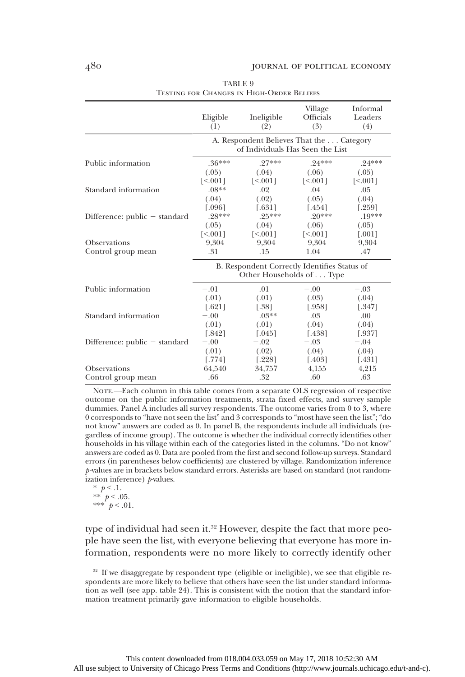|                                 | Eligible<br>(1)                                                               | Ineligible<br>(2)           | Village<br><b>Officials</b><br>(3) | Informal<br>Leaders<br>(4)  |
|---------------------------------|-------------------------------------------------------------------------------|-----------------------------|------------------------------------|-----------------------------|
|                                 | A. Respondent Believes That the  Category<br>of Individuals Has Seen the List |                             |                                    |                             |
| Public information              | $.36***$                                                                      | $.27***$                    | $.24***$                           | $.24***$                    |
|                                 | (.05)                                                                         | (.04)                       | (.06)                              | (.05)                       |
|                                 | $\left[ \leq 0.001 \right]$                                                   | $\left[ \leq 0.001 \right]$ | $\lceil 5001 \rceil$               | $\left[ \leq 0.001 \right]$ |
| Standard information            | $.08**$                                                                       | .02                         | .04                                | .05                         |
|                                 | (.04)                                                                         | (.02)                       | (.05)                              | (.04)                       |
|                                 | $0.096$ ]                                                                     | $[.631]$                    | $[.454]$                           | [.259]                      |
| Difference: $public - standard$ | $.28***$                                                                      | $.25***$                    | $.20***$                           | $.19***$                    |
|                                 | (.05)                                                                         | (.04)                       | (.06)                              | (.05)                       |
|                                 | $\left[ \leq 0.001 \right]$                                                   | $\lceil 5001 \rceil$        | [<.001]                            | $[.001]$                    |
| Observations                    | 9.304                                                                         | 9.304                       | 9,304                              | 9,304                       |
| Control group mean              | .31                                                                           | .15                         | 1.04                               | .47                         |
|                                 | B. Respondent Correctly Identifies Status of<br>Other Households of Type      |                             |                                    |                             |
| Public information              | $-.01$                                                                        | .01                         | $-.00$                             | $-.03$                      |
|                                 | (.01)                                                                         | (.01)                       | (.03)                              | (.04)                       |
|                                 | $[.621]$                                                                      | [.38]                       | $[.958]$                           | [.347]                      |
| Standard information            | $-.00$                                                                        | $.03**$                     | .03                                | .00                         |
|                                 | (.01)                                                                         | (.01)                       | (.04)                              | (.04)                       |
|                                 | $[.842]$                                                                      | $\lceil .045 \rceil$        | $[.438]$                           | [.937]                      |
| Difference: $public - standard$ | $-.00$                                                                        | $-.02$                      | $-.03$                             | $-.04$                      |
|                                 | (.01)                                                                         | (.02)                       | (.04)                              | (.04)                       |
|                                 | [.774]                                                                        | $[.228]$                    | $[.403]$                           | $[.431]$                    |
| Observations                    | 64,540                                                                        | 34,757                      | 4,155                              | 4,215                       |
| Control group mean              | .66                                                                           | .32                         | .60                                | .63                         |

TABLE 9 Testing for Changes in High-Order Beliefs

NOTE.—Each column in this table comes from a separate OLS regression of respective outcome on the public information treatments, strata fixed effects, and survey sample dummies. Panel A includes all survey respondents. The outcome varies from 0 to 3, where 0 corresponds to "have not seen the list" and 3 corresponds to "most have seen the list"; "do not know" answers are coded as 0. In panel B, the respondents include all individuals (regardless of income group). The outcome is whether the individual correctly identifies other households in his village within each of the categories listed in the columns. "Do not know" answers are coded as 0. Data are pooled from the first and second follow-up surveys. Standard errors (in parentheses below coefficients) are clustered by village. Randomization inference p-values are in brackets below standard errors. Asterisks are based on standard (not randomization inference)  *values.* 

\*  $p < 1$ . \*\*  $p < .05$ . \*\*\*  $p < .01$ .

type of individual had seen it.<sup>32</sup> However, despite the fact that more people have seen the list, with everyone believing that everyone has more information, respondents were no more likely to correctly identify other

<sup>&</sup>lt;sup>32</sup> If we disaggregate by respondent type (eligible or ineligible), we see that eligible respondents are more likely to believe that others have seen the list under standard information as well (see app. table 24). This is consistent with the notion that the standard information treatment primarily gave information to eligible households.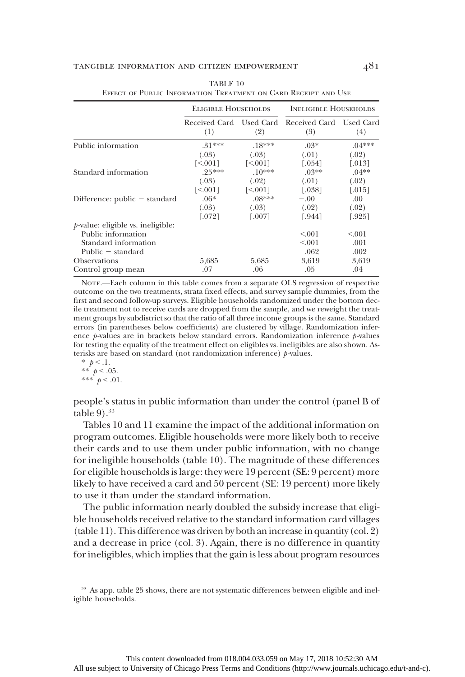#### TANGIBLE INFORMATION AND CITIZEN EMPOWERMENT  $481$

|                                      | <b>ELIGIBLE HOUSEHOLDS</b>     |                            | <b>INELIGIBLE HOUSEHOLDS</b> |                      |
|--------------------------------------|--------------------------------|----------------------------|------------------------------|----------------------|
|                                      | Received Card Used Card<br>(1) | (2)                        | Received Card<br>(3)         | Used Card<br>(4)     |
| Public information                   | $.31***$                       | $.18***$                   | $.03*$                       | $.04***$             |
|                                      | (.03)                          | (.03)                      | (.01)                        | (.02)                |
|                                      | $\lceil 5001 \rceil$           | 550011                     | [.054]                       | $\left[ .013\right]$ |
| Standard information                 | $.25***$                       | $.10***$                   | $.03**$                      | $.04***$             |
|                                      | (.03)                          | (.02)                      | (.01)                        | (.02)                |
|                                      | $\left[ \leq 0.01 \right]$     | $\left[ \leq 0.01 \right]$ | $[.038]$                     | $[.015]$             |
| Difference: $public - standard$      | $.06*$                         | $.08***$                   | $-.00$                       | .00.                 |
|                                      | (.03)                          | (.03)                      | (.02)                        | (.02)                |
|                                      | $[.072]$                       | $[.007]$                   | [.944]                       | [.925]               |
| $p$ -value: eligible vs. ineligible: |                                |                            |                              |                      |
| Public information                   |                                |                            | < 0.01                       | < 0.01               |
| Standard information                 |                                |                            | < 0.01                       | .001                 |
| Public $-$ standard                  |                                |                            | .062                         | .002                 |
| <b>Observations</b>                  | 5,685                          | 5,685                      | 3,619                        | 3,619                |
| Control group mean                   | .07                            | .06                        | .05                          | .04                  |

| TABLE 10                                                       |  |
|----------------------------------------------------------------|--|
| EFFECT OF PUBLIC INFORMATION TREATMENT ON CARD RECEIPT AND USE |  |

NOTE.—Each column in this table comes from a separate OLS regression of respective outcome on the two treatments, strata fixed effects, and survey sample dummies, from the first and second follow-up surveys. Eligible households randomized under the bottom decile treatment not to receive cards are dropped from the sample, and we reweight the treatment groups by subdistrict so that the ratio of all three income groups is the same. Standard errors (in parentheses below coefficients) are clustered by village. Randomization inference  $p$ -values are in brackets below standard errors. Randomization inference  $p$ -values for testing the equality of the treatment effect on eligibles vs. ineligibles are also shown. Asterisks are based on standard (not randomization inference)  $p$ -values.

people's status in public information than under the control (panel B of table  $9$ ).  $33$ 

Tables 10 and 11 examine the impact of the additional information on program outcomes. Eligible households were more likely both to receive their cards and to use them under public information, with no change for ineligible households (table 10). The magnitude of these differences for eligible households is large: they were 19 percent (SE: 9 percent) more likely to have received a card and 50 percent (SE: 19 percent) more likely to use it than under the standard information.

The public information nearly doubled the subsidy increase that eligible households received relative to the standard information card villages (table 11). This difference was driven by both anincrease in quantity (col. 2) and a decrease in price (col. 3). Again, there is no difference in quantity for ineligibles, which implies that the gain is less about program resources

<sup>\*</sup>  $p < 0.1$ . \*\*  $p < .05$ . \*\*\*  $p < .01$ .

<sup>33</sup> As app. table 25 shows, there are not systematic differences between eligible and ineligible households.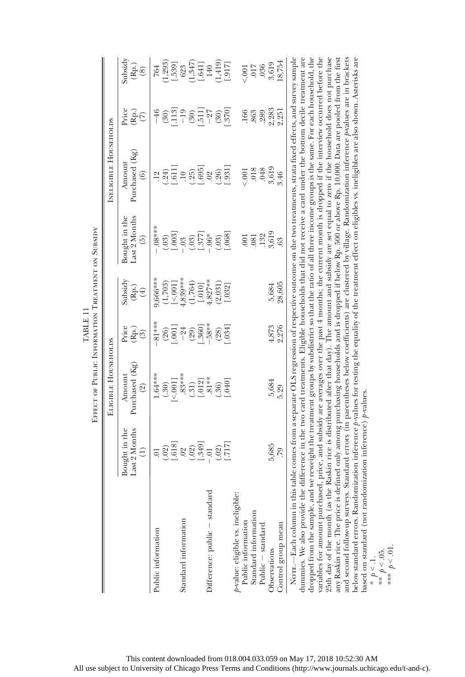|                                                                                                                                                                                                                                                                                                                                                                                                                                                                                                                                                                                                                                                                                                                                                                                                                                                                                                                                                                                                                                                                                                                                                                                                                                                           |                                                          | EFFECT OF PUBLIC INFORMATION TREATMENT ON SUBSIDY |                                                       |                                                   |                                                        |                                                                                                                               |                                                              |                                                                                          |
|-----------------------------------------------------------------------------------------------------------------------------------------------------------------------------------------------------------------------------------------------------------------------------------------------------------------------------------------------------------------------------------------------------------------------------------------------------------------------------------------------------------------------------------------------------------------------------------------------------------------------------------------------------------------------------------------------------------------------------------------------------------------------------------------------------------------------------------------------------------------------------------------------------------------------------------------------------------------------------------------------------------------------------------------------------------------------------------------------------------------------------------------------------------------------------------------------------------------------------------------------------------|----------------------------------------------------------|---------------------------------------------------|-------------------------------------------------------|---------------------------------------------------|--------------------------------------------------------|-------------------------------------------------------------------------------------------------------------------------------|--------------------------------------------------------------|------------------------------------------------------------------------------------------|
|                                                                                                                                                                                                                                                                                                                                                                                                                                                                                                                                                                                                                                                                                                                                                                                                                                                                                                                                                                                                                                                                                                                                                                                                                                                           |                                                          | ELIGIBLE HOUSEHOLDS                               |                                                       |                                                   |                                                        | INELIGIBLE HOUSEHOLDS                                                                                                         |                                                              |                                                                                          |
|                                                                                                                                                                                                                                                                                                                                                                                                                                                                                                                                                                                                                                                                                                                                                                                                                                                                                                                                                                                                                                                                                                                                                                                                                                                           | Bought in the<br>Last 2 Months<br>$\widehat{\Xi}$        | Purchased (Kg)<br>Amount<br>$\widehat{S}$         | Price<br>(Rp.)<br>$\circled{3}$                       | Subsidy<br>$(\mathbb{R}\mathrm{p.})$<br>$(\pm)$   | Bought in the<br>Last 2 Months<br>$\widetilde{\Theta}$ | Purchased (Kg)<br>Amount<br>$\widehat{6}$                                                                                     | Price<br>$\widehat{\mathbf{E}}^{(5)}$                        | Subsidy<br>$(\stackrel{.}{\mathbf{R}\mathbf{p}}\stackrel{.}{,}\stackrel{.}{\mathbf{8}})$ |
| Public information                                                                                                                                                                                                                                                                                                                                                                                                                                                                                                                                                                                                                                                                                                                                                                                                                                                                                                                                                                                                                                                                                                                                                                                                                                        | $\overline{\circ}$                                       | $1.64***$<br>$[<.001]$<br>(.30)                   | $-81***$<br>$(26)$<br>$(001)$                         | 9,666***<br>$(1,703)$<br>$[-5001]$<br>$[5839***]$ | $.8***$<br>$(03)$<br>$[-003]$                          | (.24)<br>12                                                                                                                   | [113]<br>$-46$<br>(30)                                       | 764                                                                                      |
| Standard information                                                                                                                                                                                                                                                                                                                                                                                                                                                                                                                                                                                                                                                                                                                                                                                                                                                                                                                                                                                                                                                                                                                                                                                                                                      | $(02)$<br>$(03)$<br>$(03)$<br>$(03)$<br>$(03)$<br>$(03)$ | $.83***$<br>$(.31)$<br>$[.012]$                   | $\begin{bmatrix} (29) \\ -360 \end{bmatrix}$<br>$-24$ | (1,764)<br>$[.010]$                               | $(0.03)$<br>[.377]                                     | $^{1.6117}_{-1.0}$<br>0.695<br>(.25)                                                                                          | $-19$<br>$\begin{bmatrix} 151 \\ -1 \end{bmatrix}$<br>$(30)$ | $(1,293)$<br>$[-539]$<br>$(623)$<br>$(1,347)$<br>$[-641]$<br>$[140$                      |
| Difference: public - standard                                                                                                                                                                                                                                                                                                                                                                                                                                                                                                                                                                                                                                                                                                                                                                                                                                                                                                                                                                                                                                                                                                                                                                                                                             | $(02)$<br>[717]<br>$\ddot{0}$ .                          | $81**$<br>$[0 + 0]$<br>(.36)                      | -58**<br>.034]<br>(28)                                | $4,827***$<br>(2,031)<br>[.032]                   | $(03)$<br>$068$ ]<br>$\cdot.06\,^*$                    | .931<br>(.26)<br>.02                                                                                                          | $\binom{30}{370}$<br>$-27$                                   | $\begin{array}{c} (1,419) \\ [-1,617] \end{array}$                                       |
| $p$ -value: eligible vs. ineligible:<br>Standard information<br>Public information<br>Public - standard                                                                                                                                                                                                                                                                                                                                                                                                                                                                                                                                                                                                                                                                                                                                                                                                                                                                                                                                                                                                                                                                                                                                                   |                                                          |                                                   |                                                       |                                                   | $\overline{0}$<br>.081                                 | .048<br>.018<br>001                                                                                                           | 166<br>863<br>.289                                           | .036<br>017<br>001                                                                       |
| Control group mean<br>Observations                                                                                                                                                                                                                                                                                                                                                                                                                                                                                                                                                                                                                                                                                                                                                                                                                                                                                                                                                                                                                                                                                                                                                                                                                        | 5,685<br>64.                                             | 5,684<br>5.29                                     | 4,873<br>2,276                                        | 28,605<br>5,684                                   | $.132$<br>$3,619$<br>63                                | 3,619<br>3.46                                                                                                                 | 2,283<br>2,251                                               | 18,754<br>3,619                                                                          |
| NOTE.—Each column in this table comes from a separate OLS regression of respective outcome on the two treatments, strata fixed effects, and survey sample<br>variables for amount purchased, price, and subsidy are averages over the past 4 months; the current month is dropped if the interview occurred before the<br>and second follow-up surveys. Standard errors (in parentheses below coefficients) are clustered by village. Randomization inference p-values are in brackets<br>dummies. We also provide the difference in the two card treatments. Eligible households that did not receive a card under the bottom decile treatment are<br>dropped from the sample, and we reweight the treatment groups by subdistrict so that the ratio of all three income groups is the same. For each household, the<br>any Raskin rice. The price is defined only among purchasing households and is dropped if below Rp. 500 or above Rp. 10,000. Data are pooled from the first<br>below standard errors. Randomization inference p-values for testing the equality of the treatment effect on eligibles w. ineligibles are also shown. Asterisks are<br>based on standard (not randomization inference) $p$ -values.<br>25th day of the month (as th |                                                          |                                                   |                                                       |                                                   |                                                        | e Raskin rice is distributed after that day). The amount and subsidy are set equal to zero if the household does not purchase |                                                              |                                                                                          |

TABLE 11 TABLE 11 ł. È

\*\*  $p < 0.05$ .<br>\*\*\*  $p < 0.01$ . \*\*\*  $p < 01$ . \*  $p < 1$ .  $\overline{P}$ S This content downloaded from 018.004.033.059 on May 17, 2018 10:52:30 AM All use subject to University of Chicago Press Terms and Conditions (http://www.journals.uchicago.edu/t-and-c).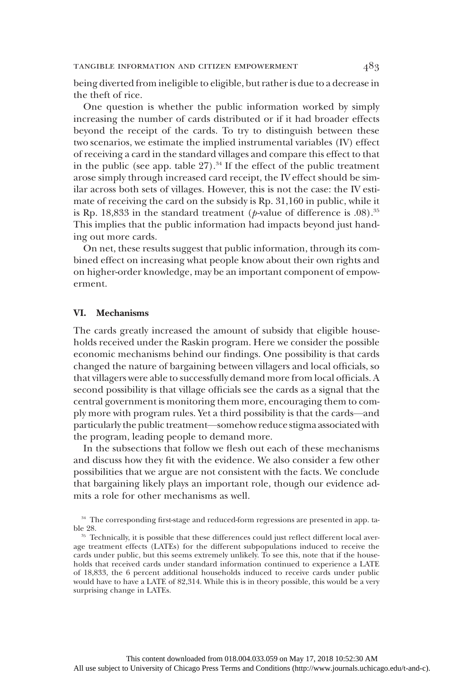being diverted from ineligible to eligible, but rather is due to a decrease in the theft of rice.

One question is whether the public information worked by simply increasing the number of cards distributed or if it had broader effects beyond the receipt of the cards. To try to distinguish between these two scenarios, we estimate the implied instrumental variables (IV) effect of receiving a card in the standard villages and compare this effect to that in the public (see app. table  $27$ ).<sup>34</sup> If the effect of the public treatment arose simply through increased card receipt, the IV effect should be similar across both sets of villages. However, this is not the case: the IV estimate of receiving the card on the subsidy is Rp. 31,160 in public, while it is Rp. 18,833 in the standard treatment ( $p$ -value of difference is .08).<sup>35</sup> This implies that the public information had impacts beyond just handing out more cards.

On net, these results suggest that public information, through its combined effect on increasing what people know about their own rights and on higher-order knowledge, may be an important component of empowerment.

## VI. Mechanisms

The cards greatly increased the amount of subsidy that eligible households received under the Raskin program. Here we consider the possible economic mechanisms behind our findings. One possibility is that cards changed the nature of bargaining between villagers and local officials, so that villagers were able to successfully demand more from local officials. A second possibility is that village officials see the cards as a signal that the central government is monitoring them more, encouraging them to comply more with program rules. Yet a third possibility is that the cards—and particularly the public treatment—somehow reduce stigma associated with the program, leading people to demand more.

In the subsections that follow we flesh out each of these mechanisms and discuss how they fit with the evidence. We also consider a few other possibilities that we argue are not consistent with the facts. We conclude that bargaining likely plays an important role, though our evidence admits a role for other mechanisms as well.

<sup>&</sup>lt;sup>34</sup> The corresponding first-stage and reduced-form regressions are presented in app. table 28.

<sup>&</sup>lt;sup>35</sup> Technically, it is possible that these differences could just reflect different local average treatment effects (LATEs) for the different subpopulations induced to receive the cards under public, but this seems extremely unlikely. To see this, note that if the households that received cards under standard information continued to experience a LATE of 18,833, the 6 percent additional households induced to receive cards under public would have to have a LATE of 82,314. While this is in theory possible, this would be a very surprising change in LATEs.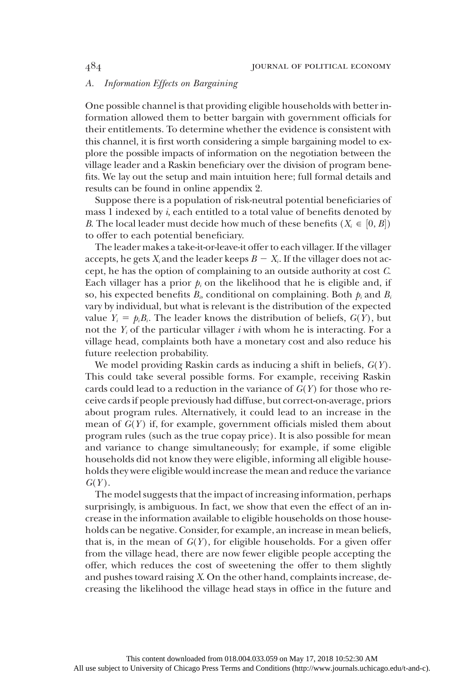## A. Information Effects on Bargaining

One possible channel is that providing eligible households with better information allowed them to better bargain with government officials for their entitlements. To determine whether the evidence is consistent with this channel, it is first worth considering a simple bargaining model to explore the possible impacts of information on the negotiation between the village leader and a Raskin beneficiary over the division of program benefits. We lay out the setup and main intuition here; full formal details and results can be found in online appendix 2.

Suppose there is a population of risk-neutral potential beneficiaries of mass  $1$  indexed by  $i$ , each entitled to a total value of benefits denoted by B. The local leader must decide how much of these benefits  $(X_i \in [0, B])$ to offer to each potential beneficiary.

The leader makes a take-it-or-leave-it offer to each villager. If the villager accepts, he gets  $X_i$  and the leader keeps  $B - X_i$ . If the villager does not accept, he has the option of complaining to an outside authority at cost C. Each villager has a prior  $p_i$  on the likelihood that he is eligible and, if so, his expected benefits  $B_i$ , conditional on complaining. Both  $p_i$  and  $B_i$ vary by individual, but what is relevant is the distribution of the expected value  $Y_i = p_i B_i$ . The leader knows the distribution of beliefs,  $G(Y)$ , but not the  $Y_i$  of the particular villager i with whom he is interacting. For a village head, complaints both have a monetary cost and also reduce his future reelection probability.

We model providing Raskin cards as inducing a shift in beliefs,  $G(Y)$ . This could take several possible forms. For example, receiving Raskin cards could lead to a reduction in the variance of  $G(Y)$  for those who receive cards if people previously had diffuse, but correct-on-average, priors about program rules. Alternatively, it could lead to an increase in the mean of  $G(Y)$  if, for example, government officials misled them about program rules (such as the true copay price). It is also possible for mean and variance to change simultaneously; for example, if some eligible households did not know they were eligible, informing all eligible households they were eligible would increase the mean and reduce the variance  $G(Y)$ .

The model suggests that the impact of increasing information, perhaps surprisingly, is ambiguous. In fact, we show that even the effect of an increase in the information available to eligible households on those households can be negative. Consider, for example, an increase in mean beliefs, that is, in the mean of  $G(Y)$ , for eligible households. For a given offer from the village head, there are now fewer eligible people accepting the offer, which reduces the cost of sweetening the offer to them slightly and pushes toward raising X. On the other hand, complaints increase, decreasing the likelihood the village head stays in office in the future and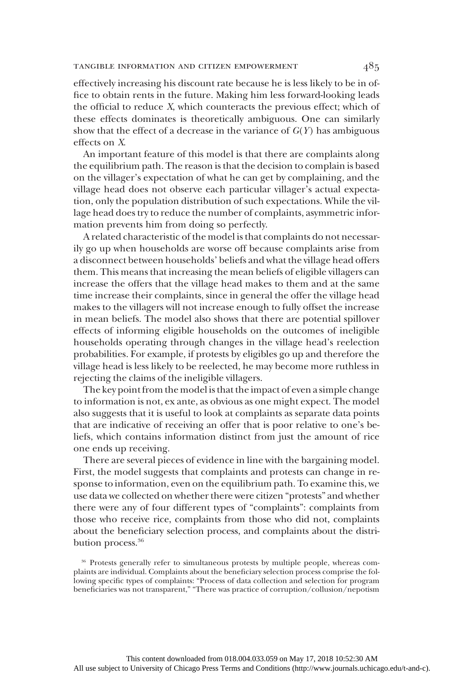effectively increasing his discount rate because he is less likely to be in office to obtain rents in the future. Making him less forward-looking leads the official to reduce X, which counteracts the previous effect; which of these effects dominates is theoretically ambiguous. One can similarly show that the effect of a decrease in the variance of  $G(Y)$  has ambiguous effects on X.

An important feature of this model is that there are complaints along the equilibrium path. The reason is that the decision to complain is based on the villager's expectation of what he can get by complaining, and the village head does not observe each particular villager's actual expectation, only the population distribution of such expectations. While the village head does try to reduce the number of complaints, asymmetric information prevents him from doing so perfectly.

A related characteristic of the model is that complaints do not necessarily go up when households are worse off because complaints arise from a disconnect between households' beliefs and what the village head offers them. This means that increasing the mean beliefs of eligible villagers can increase the offers that the village head makes to them and at the same time increase their complaints, since in general the offer the village head makes to the villagers will not increase enough to fully offset the increase in mean beliefs. The model also shows that there are potential spillover effects of informing eligible households on the outcomes of ineligible households operating through changes in the village head's reelection probabilities. For example, if protests by eligibles go up and therefore the village head is less likely to be reelected, he may become more ruthless in rejecting the claims of the ineligible villagers.

The key point from the model is that the impact of even a simple change to information is not, ex ante, as obvious as one might expect. The model also suggests that it is useful to look at complaints as separate data points that are indicative of receiving an offer that is poor relative to one's beliefs, which contains information distinct from just the amount of rice one ends up receiving.

There are several pieces of evidence in line with the bargaining model. First, the model suggests that complaints and protests can change in response to information, even on the equilibrium path. To examine this, we use data we collected on whether there were citizen "protests" and whether there were any of four different types of "complaints": complaints from those who receive rice, complaints from those who did not, complaints about the beneficiary selection process, and complaints about the distribution process.<sup>36</sup>

<sup>36</sup> Protests generally refer to simultaneous protests by multiple people, whereas complaints are individual. Complaints about the beneficiary selection process comprise the following specific types of complaints: "Process of data collection and selection for program beneficiaries was not transparent," "There was practice of corruption/collusion/nepotism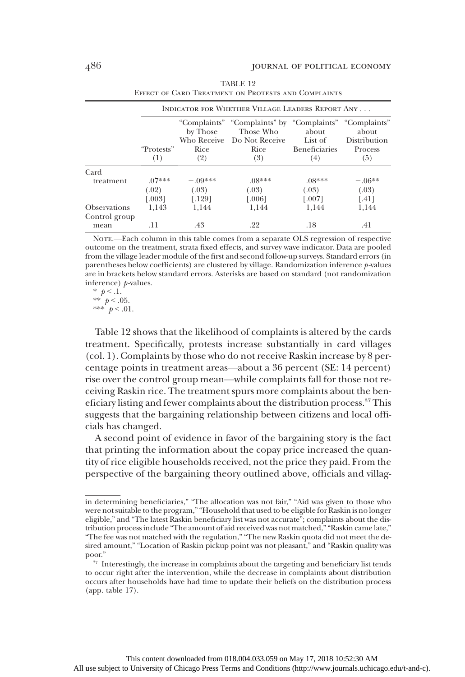|                       |                   | INDICATOR FOR WHETHER VILLAGE LEADERS REPORT ANY |                                                                                                   |                             |                       |  |
|-----------------------|-------------------|--------------------------------------------------|---------------------------------------------------------------------------------------------------|-----------------------------|-----------------------|--|
|                       |                   | by Those                                         | "Complaints" "Complaints" by "Complaints" "Complaints"<br>Those Who<br>Who Receive Do Not Receive | about<br>List of            | about<br>Distribution |  |
|                       | "Protests"<br>(1) | <b>Rice</b><br>(2)                               | Rice<br>(3)                                                                                       | <b>Beneficiaries</b><br>(4) | Process<br>(5)        |  |
| Card                  |                   |                                                  |                                                                                                   |                             |                       |  |
| treatment             | $.07***$          | $-09***$                                         | $.08***$                                                                                          | $.08***$                    | $-.06**$              |  |
|                       | (.02)             | (.03)                                            | (.03)                                                                                             | (.03)                       | (.03)                 |  |
|                       | [.003]            | $[.129]$                                         | [.006]                                                                                            | $[.007]$                    | $[.41]$               |  |
| <b>Observations</b>   | 1.143             | 1.144                                            | 1.144                                                                                             | 1.144                       | 1,144                 |  |
| Control group<br>mean | .11               | .43                                              | .22                                                                                               | .18                         | .41                   |  |

|                                                     | TABLE 12 |  |
|-----------------------------------------------------|----------|--|
| EFFECT OF CARD TREATMENT ON PROTESTS AND COMPLAINTS |          |  |

NOTE.—Each column in this table comes from a separate OLS regression of respective outcome on the treatment, strata fixed effects, and survey wave indicator. Data are pooled from the village leader module of the first and second follow-up surveys. Standard errors (in parentheses below coefficients) are clustered by village. Randomization inference  $p$ -values are in brackets below standard errors. Asterisks are based on standard (not randomization inference)  $p$ -values.

\*  $p < 1$ . \*\*  $p < .05$ . \*\*\*  $p < .01$ .

Table 12 shows that the likelihood of complaints is altered by the cards treatment. Specifically, protests increase substantially in card villages (col. 1). Complaints by those who do not receive Raskin increase by 8 percentage points in treatment areas—about a 36 percent (SE: 14 percent) rise over the control group mean—while complaints fall for those not receiving Raskin rice. The treatment spurs more complaints about the beneficiary listing and fewer complaints about the distribution process.<sup>37</sup> This suggests that the bargaining relationship between citizens and local officials has changed.

A second point of evidence in favor of the bargaining story is the fact that printing the information about the copay price increased the quantity of rice eligible households received, not the price they paid. From the perspective of the bargaining theory outlined above, officials and villag-

in determining beneficiaries," "The allocation was not fair," "Aid was given to those who were not suitable to the program," "Household that used to be eligible for Raskin is no longer eligible," and "The latest Raskin beneficiary list was not accurate"; complaints about the distribution process include "The amount of aid received was not matched," "Raskin came late," "The fee was not matched with the regulation," "The new Raskin quota did not meet the desired amount," "Location of Raskin pickup point was not pleasant," and "Raskin quality was poor."

<sup>&</sup>lt;sup>37</sup> Interestingly, the increase in complaints about the targeting and beneficiary list tends to occur right after the intervention, while the decrease in complaints about distribution occurs after households have had time to update their beliefs on the distribution process (app. table 17).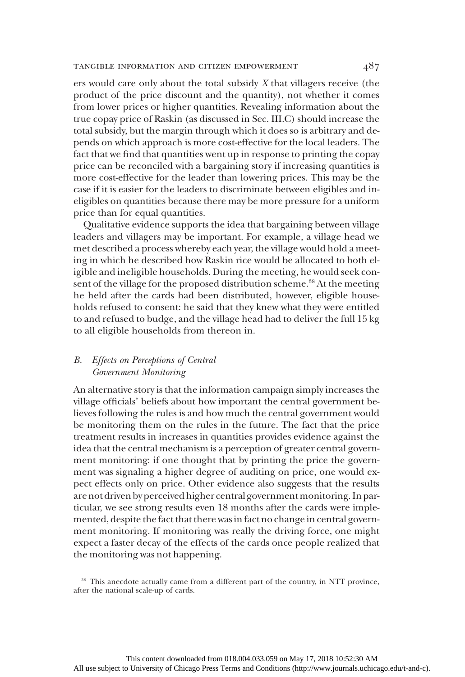ers would care only about the total subsidy X that villagers receive (the product of the price discount and the quantity), not whether it comes from lower prices or higher quantities. Revealing information about the true copay price of Raskin (as discussed in Sec. III.C) should increase the total subsidy, but the margin through which it does so is arbitrary and depends on which approach is more cost-effective for the local leaders. The fact that we find that quantities went up in response to printing the copay price can be reconciled with a bargaining story if increasing quantities is more cost-effective for the leader than lowering prices. This may be the case if it is easier for the leaders to discriminate between eligibles and ineligibles on quantities because there may be more pressure for a uniform price than for equal quantities.

Qualitative evidence supports the idea that bargaining between village leaders and villagers may be important. For example, a village head we met described a process whereby each year, the village would hold a meeting in which he described how Raskin rice would be allocated to both eligible and ineligible households. During the meeting, he would seek consent of the village for the proposed distribution scheme.<sup>38</sup> At the meeting he held after the cards had been distributed, however, eligible households refused to consent: he said that they knew what they were entitled to and refused to budge, and the village head had to deliver the full 15 kg to all eligible households from thereon in.

## B. Effects on Perceptions of Central Government Monitoring

An alternative story is that the information campaign simply increases the village officials' beliefs about how important the central government believes following the rules is and how much the central government would be monitoring them on the rules in the future. The fact that the price treatment results in increases in quantities provides evidence against the idea that the central mechanism is a perception of greater central government monitoring: if one thought that by printing the price the government was signaling a higher degree of auditing on price, one would expect effects only on price. Other evidence also suggests that the results are not driven by perceived higher central government monitoring. In particular, we see strong results even 18 months after the cards were implemented, despite the fact that there was in fact no change in central government monitoring. If monitoring was really the driving force, one might expect a faster decay of the effects of the cards once people realized that the monitoring was not happening.

<sup>38</sup> This anecdote actually came from a different part of the country, in NTT province, after the national scale-up of cards.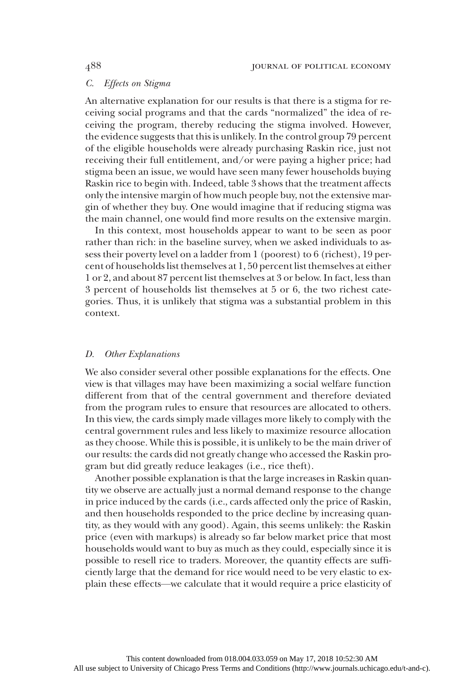## C. Effects on Stigma

An alternative explanation for our results is that there is a stigma for receiving social programs and that the cards "normalized" the idea of receiving the program, thereby reducing the stigma involved. However, the evidence suggests that this is unlikely. In the control group 79 percent of the eligible households were already purchasing Raskin rice, just not receiving their full entitlement, and/or were paying a higher price; had stigma been an issue, we would have seen many fewer households buying Raskin rice to begin with. Indeed, table 3 shows that the treatment affects only the intensive margin of how much people buy, not the extensive margin of whether they buy. One would imagine that if reducing stigma was the main channel, one would find more results on the extensive margin.

In this context, most households appear to want to be seen as poor rather than rich: in the baseline survey, when we asked individuals to assess their poverty level on a ladder from 1 (poorest) to 6 (richest), 19 percent of households list themselves at 1, 50 percent list themselves at either 1 or 2, and about 87 percent list themselves at 3 or below. In fact, less than 3 percent of households list themselves at 5 or 6, the two richest categories. Thus, it is unlikely that stigma was a substantial problem in this context.

## D. Other Explanations

We also consider several other possible explanations for the effects. One view is that villages may have been maximizing a social welfare function different from that of the central government and therefore deviated from the program rules to ensure that resources are allocated to others. In this view, the cards simply made villages more likely to comply with the central government rules and less likely to maximize resource allocation as they choose. While this is possible, it is unlikely to be the main driver of our results: the cards did not greatly change who accessed the Raskin program but did greatly reduce leakages (i.e., rice theft).

Another possible explanation is that the large increases in Raskin quantity we observe are actually just a normal demand response to the change in price induced by the cards (i.e., cards affected only the price of Raskin, and then households responded to the price decline by increasing quantity, as they would with any good). Again, this seems unlikely: the Raskin price (even with markups) is already so far below market price that most households would want to buy as much as they could, especially since it is possible to resell rice to traders. Moreover, the quantity effects are sufficiently large that the demand for rice would need to be very elastic to explain these effects—we calculate that it would require a price elasticity of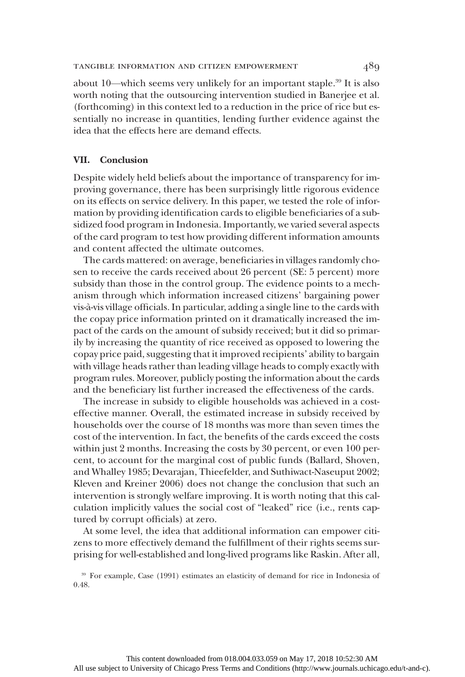about 10—which seems very unlikely for an important staple.39 It is also worth noting that the outsourcing intervention studied in Banerjee et al. (forthcoming) in this context led to a reduction in the price of rice but essentially no increase in quantities, lending further evidence against the idea that the effects here are demand effects.

#### VII. Conclusion

Despite widely held beliefs about the importance of transparency for improving governance, there has been surprisingly little rigorous evidence on its effects on service delivery. In this paper, we tested the role of information by providing identification cards to eligible beneficiaries of a subsidized food program in Indonesia. Importantly, we varied several aspects of the card program to test how providing different information amounts and content affected the ultimate outcomes.

The cards mattered: on average, beneficiaries in villages randomly chosen to receive the cards received about 26 percent (SE: 5 percent) more subsidy than those in the control group. The evidence points to a mechanism through which information increased citizens' bargaining power vis-à-vis village officials. In particular, adding a single line to the cards with the copay price information printed on it dramatically increased the impact of the cards on the amount of subsidy received; but it did so primarily by increasing the quantity of rice received as opposed to lowering the copay price paid, suggesting that it improved recipients' ability to bargain with village heads rather than leading village heads to comply exactly with program rules. Moreover, publicly posting the information about the cards and the beneficiary list further increased the effectiveness of the cards.

The increase in subsidy to eligible households was achieved in a costeffective manner. Overall, the estimated increase in subsidy received by households over the course of 18 months was more than seven times the cost of the intervention. In fact, the benefits of the cards exceed the costs within just 2 months. Increasing the costs by 30 percent, or even 100 percent, to account for the marginal cost of public funds (Ballard, Shoven, and Whalley 1985; Devarajan, Thieefelder, and Suthiwact-Naseuput 2002; Kleven and Kreiner 2006) does not change the conclusion that such an intervention is strongly welfare improving. It is worth noting that this calculation implicitly values the social cost of "leaked" rice (i.e., rents captured by corrupt officials) at zero.

At some level, the idea that additional information can empower citizens to more effectively demand the fulfillment of their rights seems surprising for well-established and long-lived programs like Raskin. After all,

<sup>39</sup> For example, Case (1991) estimates an elasticity of demand for rice in Indonesia of 0.48.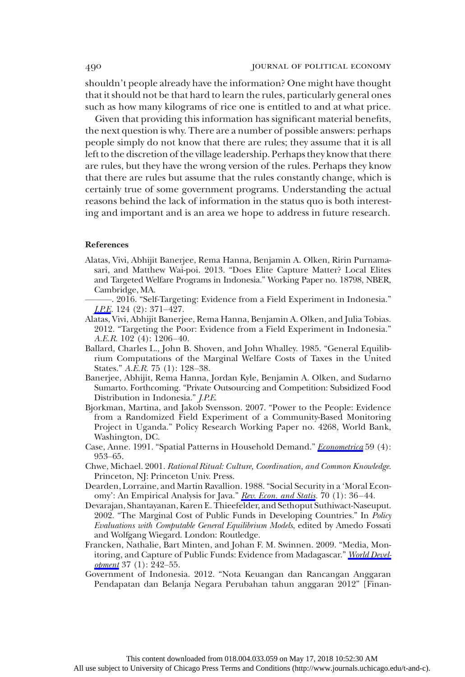shouldn't people already have the information? One might have thought that it should not be that hard to learn the rules, particularly general ones such as how many kilograms of rice one is entitled to and at what price.

Given that providing this information has significant material benefits, the next question is why. There are a number of possible answers: perhaps people simply do not know that there are rules; they assume that it is all left to the discretion of the village leadership. Perhaps they know that there are rules, but they have the wrong version of the rules. Perhaps they know that there are rules but assume that the rules constantly change, which is certainly true of some government programs. Understanding the actual reasons behind the lack of information in the status quo is both interesting and important and is an area we hope to address in future research.

#### References

- Alatas, Vivi, Abhijit Banerjee, Rema Hanna, Benjamin A. Olken, Ririn Purnamasari, and Matthew Wai-poi. 2013. "Does Elite Capture Matter? Local Elites and Targeted Welfare Programs in Indonesia." Working Paper no. 18798, NBER, Cambridge, MA.
- ———. 2016. "Self-Targeting: Evidence from a Field Experiment in Indonesia." [J.P.E](https://www.journals.uchicago.edu/action/showLinks?doi=10.1086%2F696226&system=10.1086%2F685299&citationId=p_41). 124 (2): 371–427.
- Alatas, Vivi, Abhijit Banerjee, Rema Hanna, Benjamin A. Olken, and Julia Tobias. 2012. "Targeting the Poor: Evidence from a Field Experiment in Indonesia." A.E.R. 102 (4): 1206–40.
- Ballard, Charles L., John B. Shoven, and John Whalley. 1985. "General Equilibrium Computations of the Marginal Welfare Costs of Taxes in the United States." A.E.R. 75 (1): 128–38.
- Banerjee, Abhijit, Rema Hanna, Jordan Kyle, Benjamin A. Olken, and Sudarno Sumarto. Forthcoming. "Private Outsourcing and Competition: Subsidized Food Distribution in Indonesia." J.P.E.
- Bjorkman, Martina, and Jakob Svensson. 2007. "Power to the People: Evidence from a Randomized Field Experiment of a Community-Based Monitoring Project in Uganda." Policy Research Working Paper no. 4268, World Bank, Washington, DC.
- Case, Anne. 1991. "Spatial Patterns in Household Demand." [Econometrica](https://www.journals.uchicago.edu/action/showLinks?doi=10.1086%2F696226&crossref=10.2307%2F2938168&citationId=p_47) 59 (4): 953–65.
- Chwe, Michael. 2001. Rational Ritual: Culture, Coordination, and Common Knowledge. Princeton, NJ: Princeton Univ. Press.
- Dearden, Lorraine, and Martin Ravallion. 1988."Social Security in a 'Moral Econ-omy': An Empirical Analysis for Java." [Rev. Econ. and Statis.](https://www.journals.uchicago.edu/action/showLinks?doi=10.1086%2F696226&crossref=10.2307%2F1928148&citationId=p_49) 70 (1): 36-44.
- Devarajan, Shantayanan, Karen E. Thieefelder, and Sethoput Suthiwact-Naseuput. 2002. "The Marginal Cost of Public Funds in Developing Countries." In Policy Evaluations with Computable General Equilibrium Models, edited by Amedo Fossati and Wolfgang Wiegard. London: Routledge.
- Francken, Nathalie, Bart Minten, and Johan F. M. Swinnen. 2009. "Media, Mon-itoring, and Capture of Public Funds: Evidence from Madagascar." [World Devel](https://www.journals.uchicago.edu/action/showLinks?doi=10.1086%2F696226&crossref=10.1016%2Fj.worlddev.2008.01.005&citationId=p_52) $opment$  37 (1):  $242-55$ .
- Government of Indonesia. 2012. "Nota Keuangan dan Rancangan Anggaran Pendapatan dan Belanja Negara Perubahan tahun anggaran 2012" [Finan-